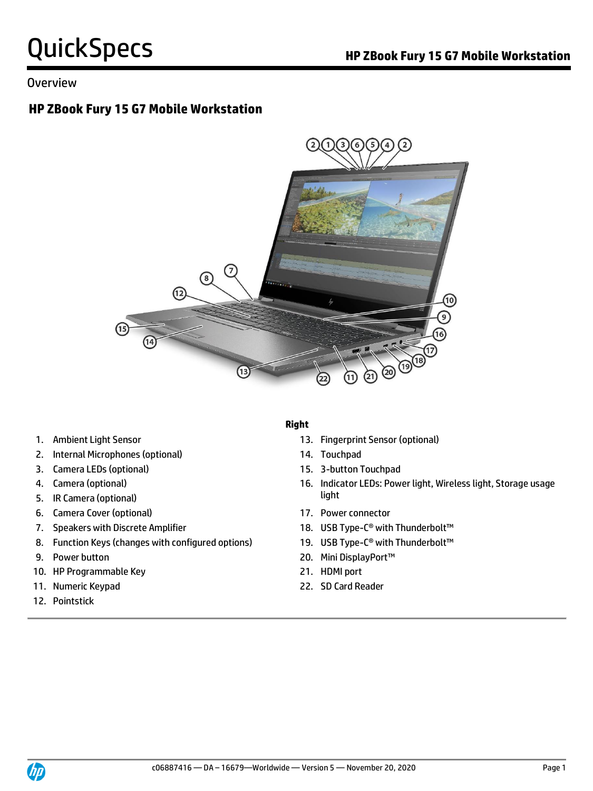#### **Overview**

## **HP ZBook Fury 15 G7 Mobile Workstation**



- 
- 2. Internal Microphones (optional) 14. Touchpad
- 3. Camera LEDs (optional) 15. 3-button Touchpad
- 
- **light** 5. IR Camera (optional) **Solution** 3. If  $\mathbf{I}$  is a set of  $\mathbf{I}$  is a set of  $\mathbf{I}$  is a set of  $\mathbf{I}$
- 6. Camera Cover (optional) 17. Power connector
- 
- 8. Function Keys (changes with configured options) 19. USB Type-C<sup>®</sup> with Thunderbolt<sup>™</sup>
- 
- 10. HP Programmable Key 21. HDMI port
- 11. Numeric Keypad 22. SD Card Reader
- 12. Pointstick

#### **Right**

- 1. Ambient Light Sensor 13. Fingerprint Sensor (optional)
	-
	-
- 4. Camera (optional) 16. Indicator LEDs: Power light, Wireless light, Storage usage
	-
- 7. Speakers with Discrete Amplifier 18. USB Type-C<sup>®</sup> with Thunderbolt<sup>™</sup>
	-
- 9. Power button 20. Mini DisplayPort™
	-
	-

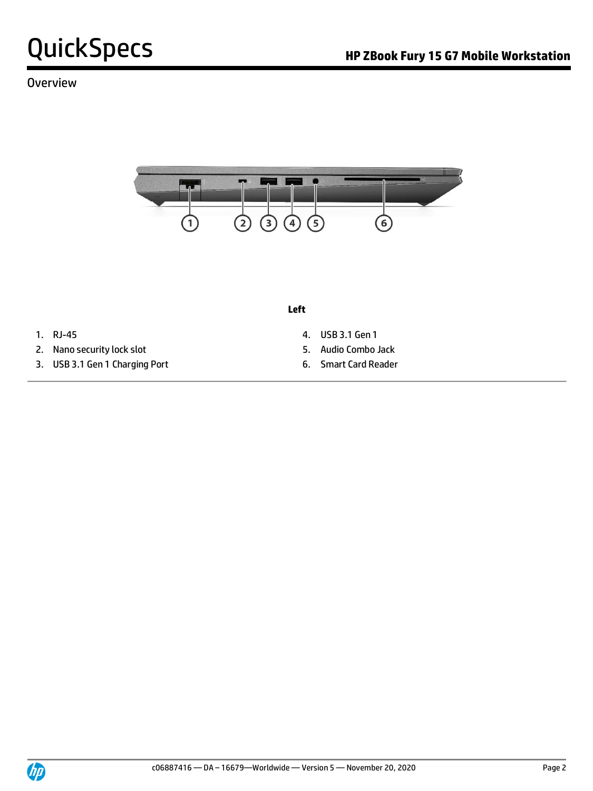### **Overview**



**Left**

- 
- 2. Nano security lock slot 5. Audio Combo Jack
- 3. USB 3.1 Gen 1 Charging Port 6. Smart Card Reader
- 1. RJ-45 4. USB 3.1 Gen 1
	-
	-

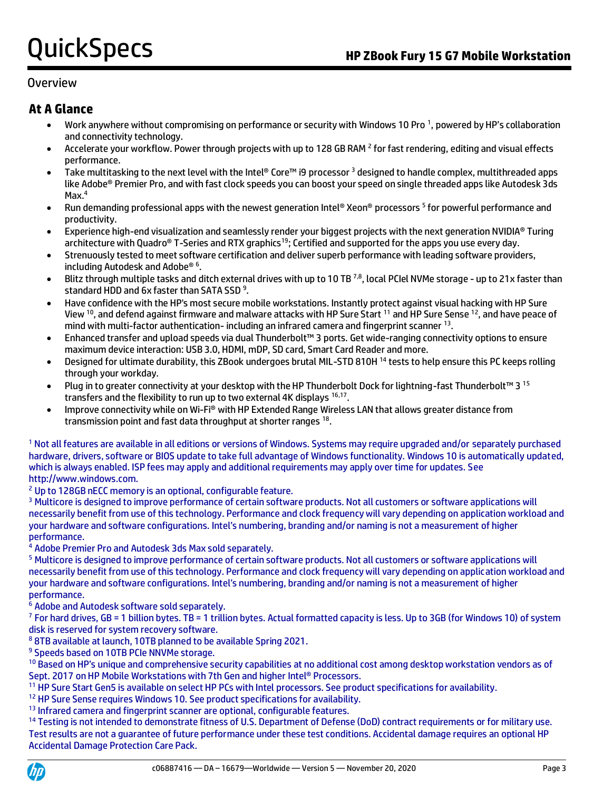#### Overview

### **At A Glance**

- Work anywhere without compromising on performance or security with Windows 10 Pro<sup>1</sup>, powered by HP's collaboration and connectivity technology.
- Accelerate your workflow. Power through projects with up to 128 GB RAM <sup>2</sup> for fast rendering, editing and visual effects performance.
- Take multitasking to the next level with the Intel® Core™ i9 processor  $3$  designed to handle complex, multithreaded apps like Adobe® Premier Pro, and with fast clock speeds you can boost your speed on single threaded apps like Autodesk 3ds Max.<sup>4</sup>
- Run demanding professional apps with the newest generation Intel® Xeon® processors <sup>5</sup> for powerful performance and productivity.
- Experience high-end visualization and seamlessly render your biggest projects with the next generation NVIDIA® Turing architecture with Quadro® T-Series and RTX graphics<sup>19</sup>; Certified and supported for the apps you use every day.
- Strenuously tested to meet software certification and deliver superb performance with leading software providers, including Autodesk and Adobe® <sup>6</sup> .
- Blitz through multiple tasks and ditch external drives with up to 10 TB <sup>7,8</sup>, local PCIel NVMe storage up to 21x faster than standard HDD and 6x faster than SATA SSD<sup>9</sup>.
- Have confidence with the HP's most secure mobile workstations. Instantly protect against visual hacking with HP Sure View <sup>10</sup>, and defend against firmware and malware attacks with HP Sure Start <sup>11</sup> and HP Sure Sense <sup>12</sup>, and have peace of mind with multi-factor authentication- including an infrared camera and fingerprint scanner 13.
- Enhanced transfer and upload speeds via dual Thunderbolt™ 3 ports. Get wide-ranging connectivity options to ensure maximum device interaction: USB 3.0, HDMI, mDP, SD card, Smart Card Reader and more.
- Designed for ultimate durability, this ZBook undergoes brutal MIL-STD 810H <sup>14</sup> tests to help ensure this PC keeps rolling through your workday.
- Plug in to greater connectivity at your desktop with the HP Thunderbolt Dock for lightning-fast Thunderbolt™ 3 <sup>15</sup> transfers and the flexibility to run up to two external 4K displays 16,17.
- Improve connectivity while on Wi-Fi® with HP Extended Range Wireless LAN that allows greater distance from transmission point and fast data throughput at shorter ranges 18.

<sup>1</sup> Not all features are available in all editions or versions of Windows. Systems may require upgraded and/or separately purchased hardware, drivers, software or BIOS update to take full advantage of Windows functionality. Windows 10 is automatically updated, which is always enabled. ISP fees may apply and additional requirements may apply over time for updates. See http://www.windows.com.

<sup>2</sup> Up to 128GB nECC memory is an optional, configurable feature.

<sup>3</sup> Multicore is designed to improve performance of certain software products. Not all customers or software applications will necessarily benefit from use of this technology. Performance and clock frequency will vary depending on application workload and your hardware and software configurations. Intel's numbering, branding and/or naming is not a measurement of higher performance.

<sup>4</sup> Adobe Premier Pro and Autodesk 3ds Max sold separately.

<sup>5</sup> Multicore is designed to improve performance of certain software products. Not all customers or software applications will necessarily benefit from use of this technology. Performance and clock frequency will vary depending on application workload and your hardware and software configurations. Intel's numbering, branding and/or naming is not a measurement of higher performance.

<sup>6</sup> Adobe and Autodesk software sold separately.

<sup>7</sup> For hard drives, GB = 1 billion bytes. TB = 1 trillion bytes. Actual formatted capacity is less. Up to 3GB (for Windows 10) of system disk is reserved for system recovery software.

<sup>8</sup> 8TB available at launch, 10TB planned to be available Spring 2021.

<sup>9</sup> Speeds based on 10TB PCIe NNVMe storage.

<sup>10</sup> Based on HP's unique and comprehensive security capabilities at no additional cost among desktop workstation vendors as of Sept. 2017 on HP Mobile Workstations with 7th Gen and higher Intel® Processors.

<sup>11</sup> HP Sure Start Gen5 is available on select HP PCs with Intel processors. See product specifications for availability.

<sup>12</sup> HP Sure Sense requires Windows 10. See product specifications for availability.

<sup>13</sup> Infrared camera and fingerprint scanner are optional, configurable features.

<sup>14</sup> Testing is not intended to demonstrate fitness of U.S. Department of Defense (DoD) contract requirements or for military use. Test results are not a guarantee of future performance under these test conditions. Accidental damage requires an optional HP Accidental Damage Protection Care Pack.

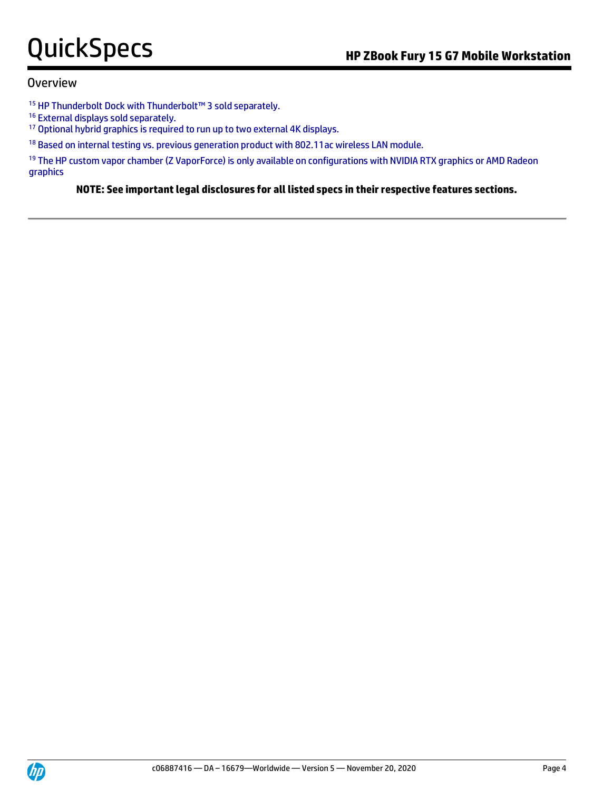#### Overview

- <sup>15</sup> HP Thunderbolt Dock with Thunderbolt™ 3 sold separately.
- <sup>16</sup> External displays sold separately.
- <sup>17</sup> Optional hybrid graphics is required to run up to two external 4K displays.
- <sup>18</sup> Based on internal testing vs. previous generation product with 802.11 ac wireless LAN module.

<sup>19</sup> The HP custom vapor chamber (Z VaporForce) is only available on configurations with NVIDIA RTX graphics or AMD Radeon graphics

**NOTE: See important legal disclosures for all listed specs in their respective features sections.**

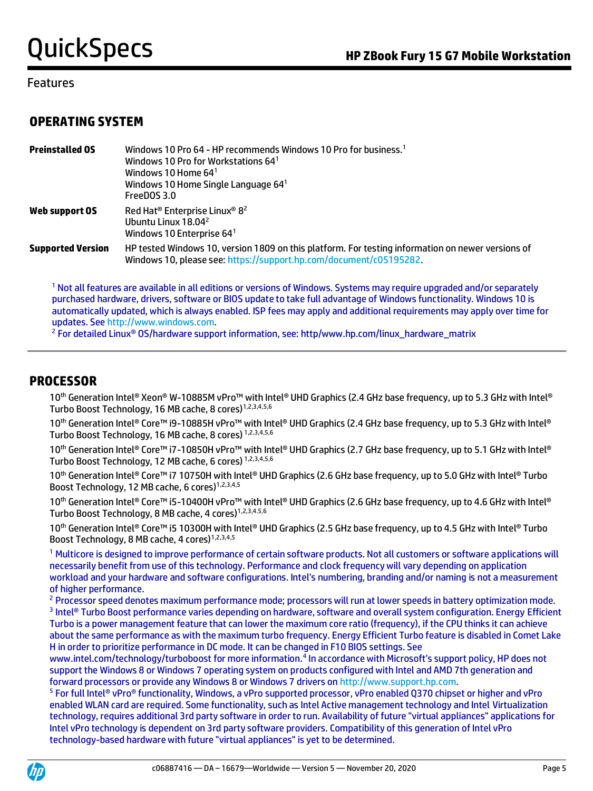#### Features

### **OPERATING SYSTEM**

| <b>Preinstalled OS</b>   | Windows 10 Pro 64 - HP recommends Windows 10 Pro for business. <sup>1</sup><br>Windows 10 Pro for Workstations 64 <sup>1</sup><br>Windows 10 Home $64^1$<br>Windows 10 Home Single Language $64^1$<br>FreeDOS 3.0 |
|--------------------------|-------------------------------------------------------------------------------------------------------------------------------------------------------------------------------------------------------------------|
| Web support OS           | Red Hat <sup>®</sup> Enterprise Linux® 8 <sup>2</sup><br>Ubuntu Linux 18.04 <sup>2</sup><br>Windows 10 Enterprise $641$                                                                                           |
| <b>Supported Version</b> | HP tested Windows 10, version 1809 on this platform. For testing information on newer versions of<br>Windows 10, please see: https://support.hp.com/document/c05195282.                                           |

<sup>1</sup> Not all features are available in all editions or versions of Windows. Systems may require upgraded and/or separately purchased hardware, drivers, software or BIOS update to take full advantage of Windows functionality. Windows 10 is automatically updated, which is always enabled. ISP fees may apply and additional requirements may apply over time for updates. Se[e http://www.windows.com.](http://www.windows.com/)

<sup>2</sup> For detailed Linux<sup>®</sup> OS/hardware support information, see: http/www.hp.com/linux\_hardware\_matrix

### **PROCESSOR**

10<sup>th</sup> Generation Intel® Xeon® W-10885M vPro™ with Intel® UHD Graphics (2.4 GHz base frequency, up to 5.3 GHz with Intel® Turbo Boost Technology, 16 MB cache, 8 cores)<sup>1,2,3,4,5,6</sup>

10<sup>th</sup> Generation Intel® Core™ i9-10885H vPro™ with Intel® UHD Graphics (2.4 GHz base frequency, up to 5.3 GHz with Intel® Turbo Boost Technology, 16 MB cache, 8 cores) 1,2,3,4,5,6

10<sup>th</sup> Generation Intel® Core™ i7-10850H vPro™ with Intel® UHD Graphics (2.7 GHz base frequency, up to 5.1 GHz with Intel® Turbo Boost Technology, 12 MB cache, 6 cores) 1,2,3,4,5,6

10<sup>th</sup> Generation Intel® Core™ i7 10750H with Intel® UHD Graphics (2.6 GHz base frequency, up to 5.0 GHz with Intel® Turbo Boost Technology, 12 MB cache, 6 cores)<sup>1,2,3,4,5</sup>

10<sup>th</sup> Generation Intel® Core<sup>™</sup> i5-10400H vPro™ with Intel® UHD Graphics (2.6 GHz base frequency, up to 4.6 GHz with Intel® Turbo Boost Technology, 8 MB cache, 4 cores)<sup>1,2,3,4.5,6</sup>

10<sup>th</sup> Generation Intel® Core<sup>™</sup> i5 10300H with Intel® UHD Graphics (2.5 GHz base frequency, up to 4.5 GHz with Intel® Turbo Boost Technology, 8 MB cache, 4 cores)<sup>1,2,3,4,5</sup>

<sup>1</sup> Multicore is designed to improve performance of certain software products. Not all customers or software applications will necessarily benefit from use of this technology. Performance and clock frequency will vary depending on application workload and your hardware and software configurations. Intel's numbering, branding and/or naming is not a measurement of higher performance.

<sup>2</sup> Processor speed denotes maximum performance mode; processors will run at lower speeds in battery optimization mode. 3 Intel® Turbo Boost performance varies depending on hardware, software and overall system configuration. Energy Efficient Turbo is a power management feature that can lower the maximum core ratio (frequency), if the CPU thinks it can achieve about the same performance as with the maximum turbo frequency. Energy Efficient Turbo feature is disabled in Comet Lake H in order to prioritize performance in DC mode. It can be changed in F10 BIOS settings. See

www.intel.com/technology/turboboost for more information.<sup>4</sup> In accordance with Microsoft's support policy, HP does not support the Windows 8 or Windows 7 operating system on products configured with Intel and AMD 7th generation and forward processors or provide any Windows 8 or Windows 7 drivers o[n http://www.support.hp.com.](http://www.support.hp.com/)

<sup>5</sup> For full Intel® vPro® functionality, Windows, a vPro supported processor, vPro enabled Q370 chipset or higher and vPro enabled WLAN card are required. Some functionality, such as Intel Active management technology and Intel Virtualization technology, requires additional 3rd party software in order to run. Availability of future "virtual appliances" applications for Intel vPro technology is dependent on 3rd party software providers. Compatibility of this generation of Intel vPro technology-based hardware with future "virtual appliances" is yet to be determined.

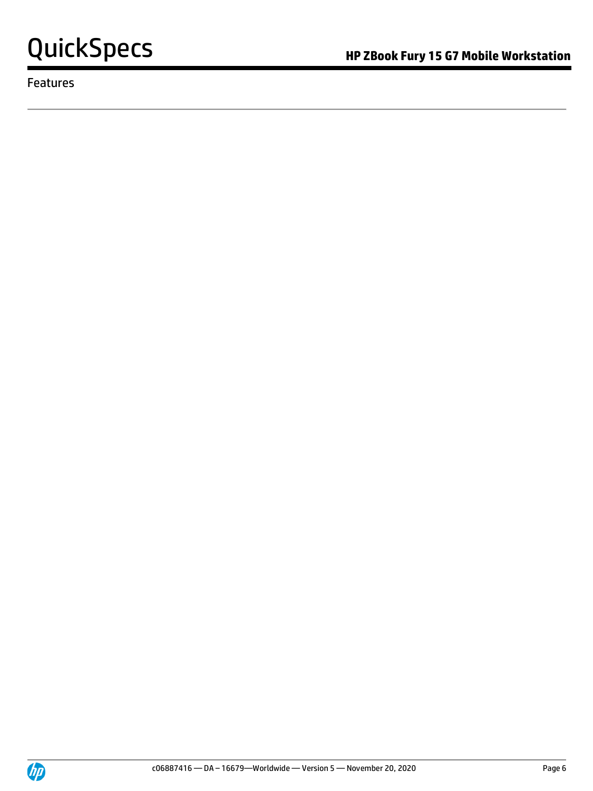

Features

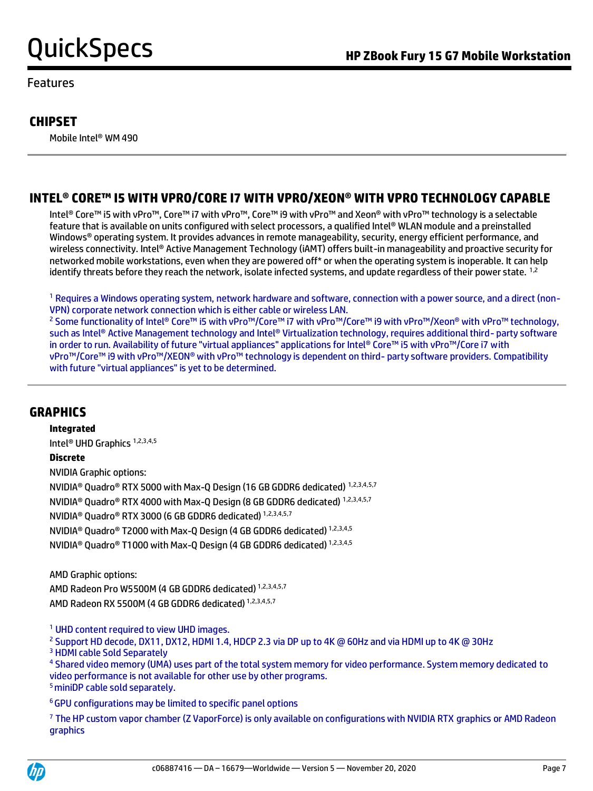#### Features

### **CHIPSET**

Mobile Intel® WM 490

## **INTEL® CORE™ I5 WITH VPRO/CORE I7 WITH VPRO/XEON® WITH VPRO TECHNOLOGY CAPABLE**

Intel® Core™ i5 with vPro™, Core™ i7 with vPro™, Core™ i9 with vPro™ and Xeon® with vPro™ technology is a selectable feature that is available on units configured with select processors, a qualified Intel® WLAN module and a preinstalled Windows® operating system. It provides advances in remote manageability, security, energy efficient performance, and wireless connectivity. Intel® Active Management Technology (iAMT) offers built-in manageability and proactive security for networked mobile workstations, even when they are powered off\* or when the operating system is inoperable. It can help identify threats before they reach the network, isolate infected systems, and update regardless of their power state. <sup>1,2</sup>

 $^1$  Requires a Windows operating system, network hardware and software, connection with a power source, and a direct (non-VPN) corporate network connection which is either cable or wireless LAN.

<sup>2</sup> Some functionality of Intel® Core™ i5 with vPro™/Core™ i7 with vPro™/Core™ i9 with vPro™/Xeon® with vPro™ technology, such as Intel® Active Management technology and Intel® Virtualization technology, requires additional third- party software in order to run. Availability of future "virtual appliances" applications for Intel® Core™ i5 with vPro™/Core i7 with vPro™/Core™ i9 with vPro™/XEON® with vPro™ technology is dependent on third- party software providers. Compatibility with future "virtual appliances" is yet to be determined.

### **GRAPHICS**

**Integrated** Intel® UHD Graphics 1,2,3,4,5 **Discrete** NVIDIA Graphic options: NVIDIA® Quadro® RTX 5000 with Max-Q Design (16 GB GDDR6 dedicated) 1,2,3,4,5,7 NVIDIA® Quadro® RTX 4000 with Max-Q Design (8 GB GDDR6 dedicated) 1,2,3,4,5,7 NVIDIA® Quadro® RTX 3000 (6 GB GDDR6 dedicated) 1,2,3,4,5,7 NVIDIA® Quadro® T2000 with Max-Q Design (4 GB GDDR6 dedicated) 1,2,3,4,5 NVIDIA® Quadro® T1000 with Max-Q Design (4 GB GDDR6 dedicated) 1,2,3,4,5

AMD Graphic options: AMD Radeon Pro W5500M (4 GB GDDR6 dedicated) 1,2,3,4,5,7 AMD Radeon RX 5500M (4 GB GDDR6 dedicated) 1,2,3,4,5,7

<sup>1</sup> UHD content required to view UHD images.

<sup>2</sup> Support HD decode, DX11, DX12, HDMI 1.4, HDCP 2.3 via DP up to 4K @ 60Hz and via HDMI up to 4K @ 30Hz

<sup>3</sup> HDMI cable Sold Separately

4 Shared video memory (UMA) uses part of the total system memory for video performance. System memory dedicated to video performance is not available for other use by other programs. <sup>5</sup> miniDP cable sold separately.

<sup>6</sup>GPU configurations may be limited to specific panel options

<sup>7</sup> The HP custom vapor chamber (Z VaporForce) is only available on configurations with NVIDIA RTX graphics or AMD Radeon graphics

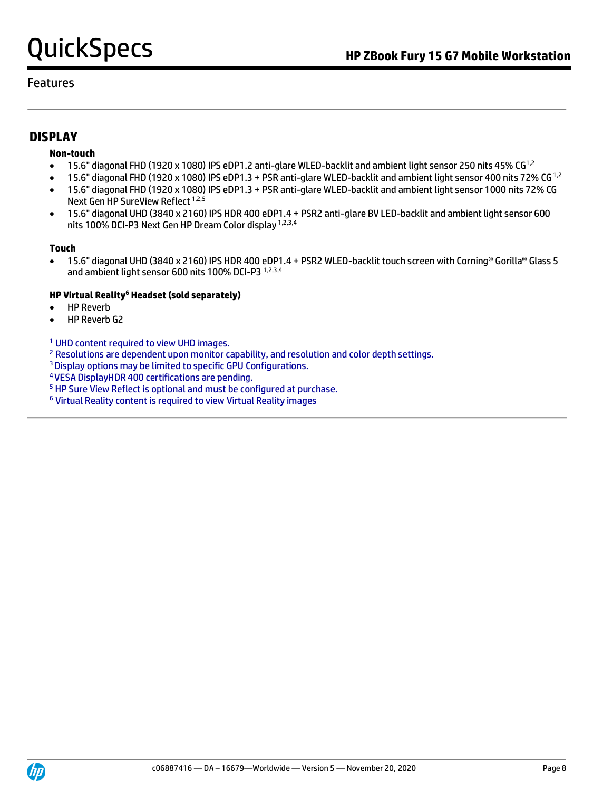#### Features

### **DISPLAY**

#### **Non-touch**

- 15.6" diagonal FHD (1920 x 1080) IPS eDP1.2 anti-glare WLED-backlit and ambient light sensor 250 nits 45% CG<sup>1,2</sup>
- 15.6" diagonal FHD (1920 x 1080) IPS eDP1.3 + PSR anti-glare WLED-backlit and ambient light sensor 400 nits 72% CG<sup>1,2</sup>
- 15.6" diagonal FHD (1920 x 1080) IPS eDP1.3 + PSR anti-glare WLED-backlit and ambient light sensor 1000 nits 72% CG Next Gen HP SureView Reflect<sup>1,2,5</sup>
- 15.6" diagonal UHD (3840 x 2160) IPS HDR 400 eDP1.4 + PSR2 anti-glare BV LED-backlit and ambient light sensor 600 nits 100% DCI-P3 Next Gen HP Dream Color display 1,2,3,4

#### **Touch**

• 15.6" diagonal UHD (3840 x 2160) IPS HDR 400 eDP1.4 + PSR2 WLED-backlit touch screen with Corning® Gorilla® Glass 5 and ambient light sensor 600 nits 100% DCI-P3 1,2,3,4

#### **HP Virtual Reality<sup>6</sup> Headset (sold separately)**

- HP Reverb
- HP Reverb G2

<sup>1</sup> UHD content required to view UHD images.

<sup>2</sup> Resolutions are dependent upon monitor capability, and resolution and color depth settings.

<sup>3</sup> Display options may be limited to specific GPU Configurations.

<sup>4</sup>VESA DisplayHDR 400 certifications are pending.

- <sup>5</sup> HP Sure View Reflect is optional and must be configured at purchase.
- <sup>6</sup> Virtual Reality content is required to view Virtual Reality images

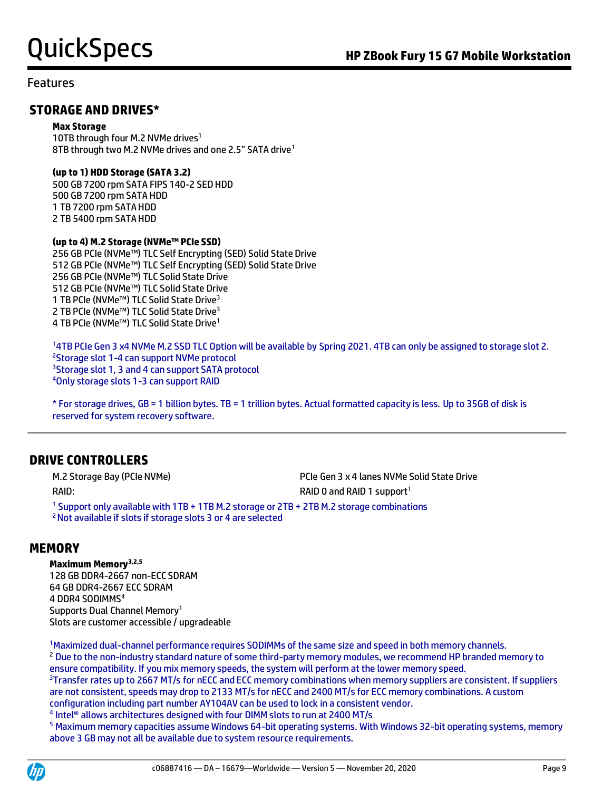#### Features

### **STORAGE AND DRIVES\***

#### **Max Storage**

10TB through four M.2 NVMe drives<sup>1</sup> 8TB through two M.2 NVMe drives and one 2.5" SATA drive<sup>1</sup>

#### **(up to 1) HDD Storage (SATA 3.2)**

500 GB 7200 rpm SATA FIPS 140-2 SED HDD 500 GB 7200 rpm SATA HDD 1 TB 7200 rpm SATA HDD 2 TB 5400 rpm SATA HDD

#### **(up to 4) M.2 Storage (NVMe™ PCIe SSD)**

256 GB PCIe (NVMe™) TLC Self Encrypting (SED) Solid State Drive 512 GB PCIe (NVMe™) TLC Self Encrypting (SED) Solid State Drive 256 GB PCIe (NVMe™) TLC Solid State Drive 512 GB PCIe (NVMe™) TLC Solid State Drive 1 TB PCIe (NVMe™) TLC Solid State Drive<sup>3</sup> 2 TB PCIe (NVMe™) TLC Solid State Drive<sup>3</sup> 4 TB PCIe (NVMe™) TLC Solid State Drive<sup>1</sup>

4TB PCIe Gen 3 x4 NVMe M.2 SSD TLC Option will be available by Spring 2021. 4TB can only be assigned to storage slot 2. Storage slot 1-4 can support NVMe protocol <sup>3</sup>Storage slot 1, 3 and 4 can support SATA protocol Only storage slots 1-3 can support RAID

\* For storage drives, GB = 1 billion bytes. TB = 1 trillion bytes. Actual formatted capacity is less. Up to 35GB of disk is reserved for system recovery software.

### **DRIVE CONTROLLERS**

M.2 Storage Bay (PCIe NVMe) **PCIE Gen 3 x 4 lanes NVMe Solid State Drive** RAID: RAID: RAID 1 support<sup>1</sup>

<sup>1</sup> Support only available with 1TB + 1TB M.2 storage or 2TB + 2TB M.2 storage combinations <sup>2</sup>Not available if slots if storage slots 3 or 4 are selected

### **MEMORY**

#### **Maximum Memory3,2,5**

128 GB DDR4-2667 non-ECC SDRAM 64 GB DDR4-2667 ECC SDRAM 4 DDR4 SODIMMS<sup>4</sup> Supports Dual Channel Memory<sup>1</sup> Slots are customer accessible / upgradeable

<sup>1</sup>Maximized dual-channel performance requires SODIMMs of the same size and speed in both memory channels. <sup>2</sup> Due to the non-industry standard nature of some third-party memory modules, we recommend HP branded memory to ensure compatibility. If you mix memory speeds, the system will perform at the lower memory speed.

<sup>3</sup>Transfer rates up to 2667 MT/s for nECC and ECC memory combinations when memory suppliers are consistent. If suppliers are not consistent, speeds may drop to 2133 MT/s for nECC and 2400 MT/s for ECC memory combinations. A custom configuration including part number AY104AV can be used to lock in a consistent vendor.

<sup>4</sup> Intel® allows architectures designed with four DIMM slots to run at 2400 MT/s

<sup>5</sup> Maximum memory capacities assume Windows 64-bit operating systems. With Windows 32-bit operating systems, memory above 3 GB may not all be available due to system resource requirements.

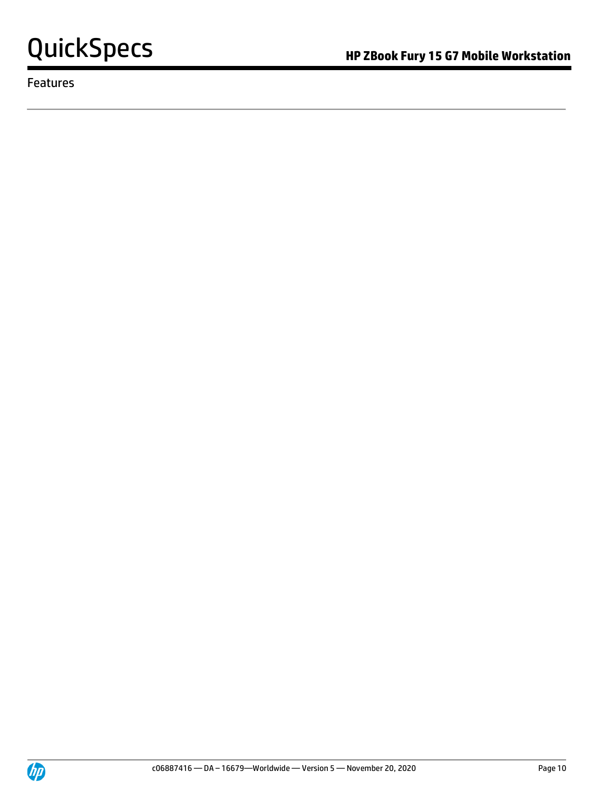

Features

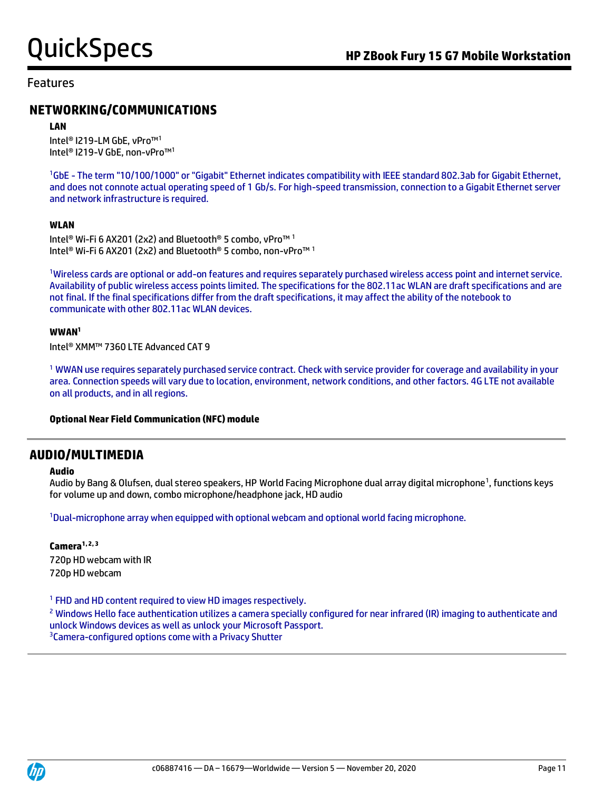#### Features

### **NETWORKING/COMMUNICATIONS**

#### **LAN**

Intel® I219-LM GbE, vPro™<sup>1</sup> Intel® I219-V GbE, non-vPro™<sup>1</sup>

<sup>1</sup>GbE - The term "10/100/1000" or "Gigabit" Ethernet indicates compatibility with IEEE standard 802.3ab for Gigabit Ethernet, and does not connote actual operating speed of 1 Gb/s. For high-speed transmission, connection to a Gigabit Ethernet server and network infrastructure is required.

#### **WLAN**

Intel® Wi-Fi 6 AX201 (2x2) and Bluetooth® 5 combo, vPro™ <sup>1</sup> Intel® Wi-Fi 6 AX201 (2x2) and Bluetooth® 5 combo, non-vPro™ <sup>1</sup>

<sup>1</sup>Wireless cards are optional or add-on features and requires separately purchased wireless access point and internet service. Availability of public wireless access points limited. The specifications for the 802.11ac WLAN are draft specifications and are not final. If the final specifications differ from the draft specifications, it may affect the ability of the notebook to communicate with other 802.11ac WLAN devices.

#### **WWAN<sup>1</sup>**

Intel® XMM™ 7360 LTE Advanced CAT 9

<sup>1</sup> WWAN use requires separately purchased service contract. Check with service provider for coverage and availability in your area. Connection speeds will vary due to location, environment, network conditions, and other factors. 4G LTE not available on all products, and in all regions.

#### **Optional Near Field Communication (NFC) module**

#### **AUDIO/MULTIMEDIA**

#### **Audio**

Audio by Bang & Olufsen, dual stereo speakers, HP World Facing Microphone dual array digital microphone<sup>1</sup>, functions keys for volume up and down, combo microphone/headphone jack, HD audio

<sup>1</sup>Dual-microphone array when equipped with optional webcam and optional world facing microphone.

#### **Camera1, 2, 3** 720p HD webcam with IR 720p HD webcam

<sup>1</sup> FHD and HD content required to view HD images respectively.

<sup>2</sup> Windows Hello face authentication utilizes a camera specially configured for near infrared (IR) imaging to authenticate and unlock Windows devices as well as unlock your Microsoft Passport. <sup>3</sup> Camera-configured options come with a Privacy Shutter

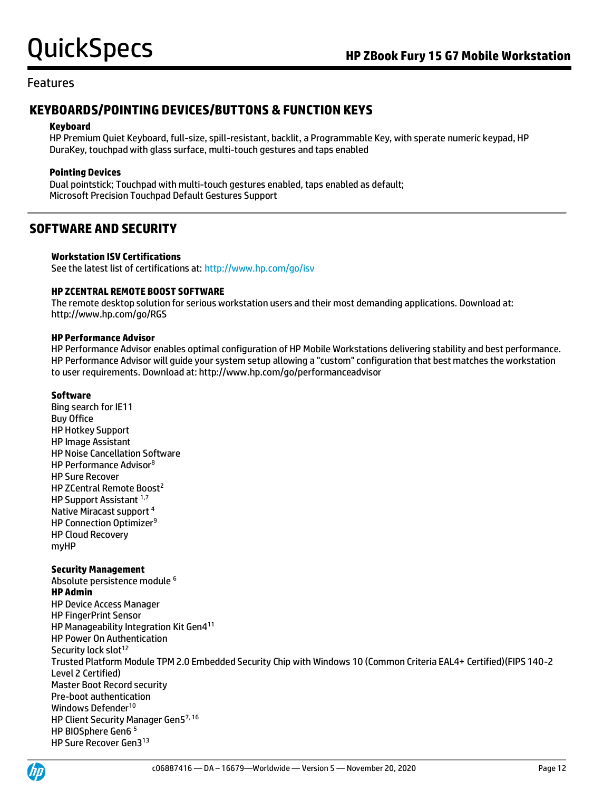#### Features

### **KEYBOARDS/POINTING DEVICES/BUTTONS & FUNCTION KEYS**

#### **Keyboard**

HP Premium Quiet Keyboard, full-size, spill-resistant, backlit, a Programmable Key, with sperate numeric keypad, HP DuraKey, touchpad with glass surface, multi-touch gestures and taps enabled

#### **Pointing Devices**

Dual pointstick; Touchpad with multi-touch gestures enabled, taps enabled as default; Microsoft Precision Touchpad Default Gestures Support

### **SOFTWARE AND SECURITY**

#### **Workstation ISV Certifications**

See the latest list of certifications at[: http://www.hp.com/go/isv](http://www.hp.com/go/isv)

#### **HP ZCENTRAL REMOTE BOOST SOFTWARE**

The remote desktop solution for serious workstation users and their most demanding applications. Download at: http://www.hp.com/go/RGS

#### **HP Performance Advisor**

HP Performance Advisor enables optimal configuration of HP Mobile Workstations delivering stability and best performance. HP Performance Advisor will guide your system setup allowing a "custom" configuration that best matches the workstation to user requirements. Download at: http://www.hp.com/go/performanceadvisor

#### **Software**

Bing search for IE11 Buy Office HP Hotkey Support HP Image Assistant HP Noise Cancellation Software HP Performance Advisor<sup>8</sup> HP Sure Recover HP ZCentral Remote Boost<sup>2</sup> HP Support Assistant 1,7 Native Miracast support <sup>4</sup> HP Connection Optimizer<sup>9</sup> HP Cloud Recovery myHP

#### **Security Management**

Absolute persistence module <sup>6</sup> **HP Admin** HP Device Access Manager HP FingerPrint Sensor HP Manageability Integration Kit Gen4<sup>11</sup> HP Power On Authentication Security lock slot<sup>12</sup> Trusted Platform Module TPM 2.0 Embedded Security Chip with Windows 10 (Common Criteria EAL4+ Certified)(FIPS 140-2 Level 2 Certified) Master Boot Record security Pre-boot authentication Windows Defender<sup>10</sup> HP Client Security Manager Gen57, 16 HP BIOSphere Gen6 5 HP Sure Recover Gen3<sup>13</sup>

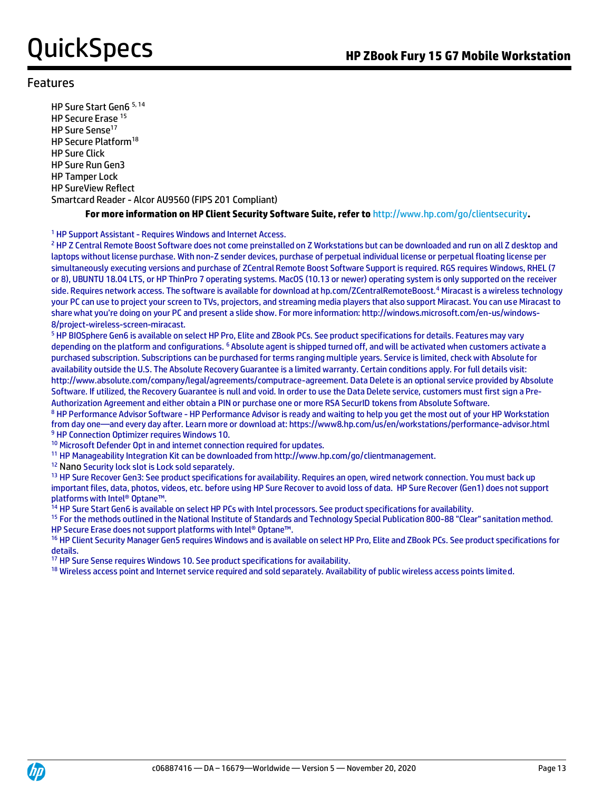#### Features

HP Sure Start Gen6 5, 14 HP Secure Erase<sup>15</sup> HP Sure Sense<sup>17</sup> HP Secure Platform<sup>18</sup> HP Sure Click HP Sure Run Gen3 HP Tamper Lock HP SureView Reflect Smartcard Reader - Alcor AU9560 (FIPS 201 Compliant)

#### **For more information on HP Client Security Software Suite, refer to** http://www.hp.com/go/clientsecurity**.**

#### <sup>1</sup> HP Support Assistant - Requires Windows and Internet Access.

<sup>2</sup> HP Z Central Remote Boost Software does not come preinstalled on Z Workstations but can be downloaded and run on all Z desktop and laptops without license purchase. With non-Z sender devices, purchase of perpetual individual license or perpetual floating license per simultaneously executing versions and purchase of ZCentral Remote Boost Software Support is required. RGS requires Windows, RHEL (7 or 8), UBUNTU 18.04 LTS, or HP ThinPro 7 operating systems. MacOS (10.13 or newer) operating system is only supported on the receiver side. Requires network access. The software is available for download at hp.com/ZCentralRemoteBoost.<sup>4</sup> Miracast is a wireless technology your PC can use to project your screen to TVs, projectors, and streaming media players that also support Miracast. You can use Miracast to share what you're doing on your PC and present a slide show. For more information: http://windows.microsoft.com/en-us/windows-8/project-wireless-screen-miracast.

<sup>5</sup> HP BIOSphere Gen6 is available on select HP Pro, Elite and ZBook PCs. See product specifications for details. Features may vary depending on the platform and configurations. <sup>6</sup> Absolute agent is shipped turned off, and will be activated when customers activate a purchased subscription. Subscriptions can be purchased for terms ranging multiple years. Service is limited, check with Absolute for availability outside the U.S. The Absolute Recovery Guarantee is a limited warranty. Certain conditions apply. For full details visit: http://www.absolute.com/company/legal/agreements/computrace-agreement. Data Delete is an optional service provided by Absolute Software. If utilized, the Recovery Guarantee is null and void. In order to use the Data Delete service, customers must first sign a Pre-Authorization Agreement and either obtain a PIN or purchase one or more RSA SecurID tokens from Absolute Software.

8 HP Performance Advisor Software - HP Performance Advisor is ready and waiting to help you get the most out of your HP Workstation from day one—and every day after. Learn more or download at: https://www8.hp.com/us/en/workstations/performance-advisor.html <sup>9</sup> HP Connection Optimizer requires Windows 10.

<sup>10</sup> Microsoft Defender Opt in and internet connection required for updates.

<sup>11</sup> HP Manageability Integration Kit can be downloaded from http://www.hp.com/go/clientmanagement.

<sup>12</sup> Nano Security lock slot is Lock sold separately.

<sup>13</sup> HP Sure Recover Gen3: See product specifications for availability. Requires an open, wired network connection. You must back up important files, data, photos, videos, etc. before using HP Sure Recover to avoid loss of data. HP Sure Recover (Gen1) does not support platforms with Intel® Optane™.

<sup>14</sup> HP Sure Start Gen6 is available on select HP PCs with Intel processors. See product specifications for availability.

15 For the methods outlined in the National Institute of Standards and Technology Special Publication 800-88 "Clear" sanitation method. HP Secure Erase does not support platforms with Intel® Optane™.

<sup>16</sup> HP Client Security Manager Gen5 requires Windows and is available on select HP Pro, Elite and ZBook PCs. See product specifications for details.

<sup>17</sup> HP Sure Sense requires Windows 10. See product specifications for availability.

<sup>18</sup> Wireless access point and Internet service required and sold separately. Availability of public wireless access points limited.

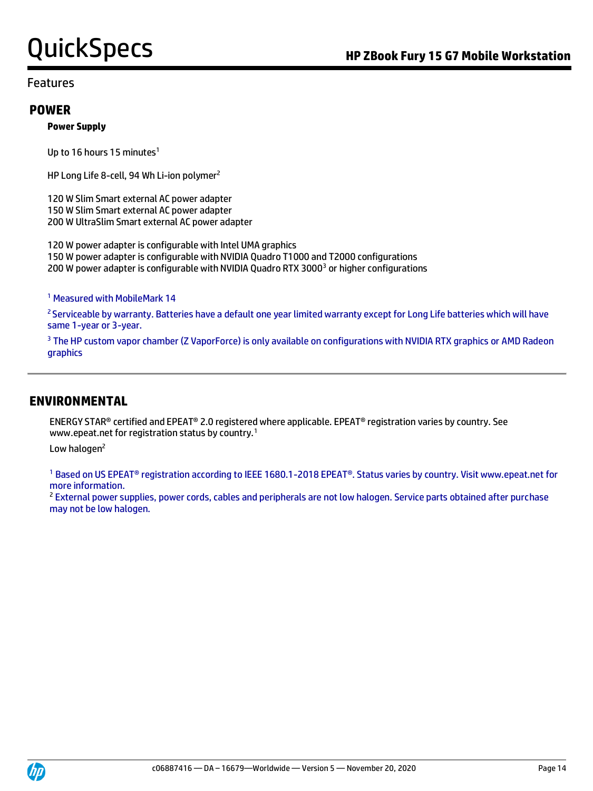#### Features

#### **POWER**

#### **Power Supply**

Up to 16 hours 15 minutes<sup>1</sup>

HP Long Life 8-cell, 94 Wh Li-ion polymer<sup>2</sup>

120 W Slim Smart external AC power adapter 150 W Slim Smart external AC power adapter 200 W UltraSlim Smart external AC power adapter

120 W power adapter is configurable with Intel UMA graphics 150 W power adapter is configurable with NVIDIA Quadro T1000 and T2000 configurations 200 W power adapter is configurable with NVIDIA Quadro RTX 3000<sup>3</sup> or higher configurations

<sup>1</sup> Measured with MobileMark 14

<sup>2</sup> Serviceable by warranty. Batteries have a default one year limited warranty except for Long Life batteries which will have same 1-year or 3-year.

<sup>3</sup> The HP custom vapor chamber (Z VaporForce) is only available on configurations with NVIDIA RTX graphics or AMD Radeon graphics

#### **ENVIRONMENTAL**

ENERGY STAR® certified and EPEAT® 2.0 registered where applicable. EPEAT® registration varies by country. See www.epeat.net for registration status by country.<sup>1</sup>

Low halogen<sup>2</sup>

<sup>1</sup> Based on US EPEAT® registration according to IEEE 1680.1-2018 EPEAT®. Status varies by country. Visit www.epeat.net for more information.

<sup>2</sup> External power supplies, power cords, cables and peripherals are not low halogen. Service parts obtained after purchase may not be low halogen.

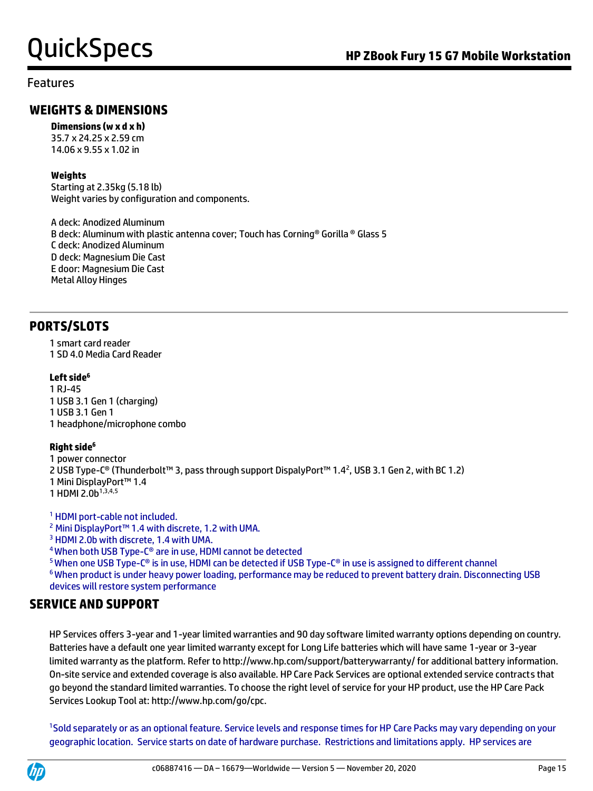#### Features

### **WEIGHTS & DIMENSIONS**

**Dimensions (w x d x h)**

35.7 x 24.25 x 2.59 cm 14.06 x 9.55 x 1.02 in

#### **Weights**

Starting at 2.35kg (5.18 lb) Weight varies by configuration and components.

A deck: Anodized Aluminum B deck: Aluminum with plastic antenna cover; Touch has Corning® Gorilla ® Glass 5 C deck: Anodized Aluminum D deck: Magnesium Die Cast E door: Magnesium Die Cast Metal Alloy Hinges

### **PORTS/SLOTS**

1 smart card reader 1 SD 4.0 Media Card Reader

#### **Left side<sup>6</sup>**

1 RJ-45 1 USB 3.1 Gen 1 (charging) 1 USB 3.1 Gen 1 1 headphone/microphone combo

#### **Right side<sup>6</sup>**

1 power connector 2 USB Type-C® (Thunderbolt™ 3, pass through support DispalyPort™ 1.4<sup>2</sup>, USB 3.1 Gen 2, with BC 1.2) 1 Mini DisplayPort™ 1.4 1 HDMI 2.0b1,3,4,5

<sup>1</sup> HDMI port-cable not included.

<sup>2</sup> Mini DisplayPort™ 1.4 with discrete, 1.2 with UMA.

<sup>3</sup> HDMI 2.0b with discrete, 1.4 with UMA.

<sup>4</sup>When both USB Type-C® are in use, HDMI cannot be detected

 $5$  When one USB Type-C® is in use, HDMI can be detected if USB Type-C® in use is assigned to different channel <sup>6</sup>When product is under heavy power loading, performance may be reduced to prevent battery drain. Disconnecting USB devices will restore system performance

### **SERVICE AND SUPPORT**

HP Services offers 3-year and 1-year limited warranties and 90 day software limited warranty options depending on country. Batteries have a default one year limited warranty except for Long Life batteries which will have same 1-year or 3-year limited warranty as the platform. Refer to http://www.hp.com/support/batterywarranty/ for additional battery information. On-site service and extended coverage is also available. HP Care Pack Services are optional extended service contracts that go beyond the standard limited warranties. To choose the right level of service for your HP product, use the HP Care Pack Services Lookup Tool at: http://www.hp.com/go/cpc.

<sup>1</sup>Sold separately or as an optional feature. Service levels and response times for HP Care Packs may vary depending on your geographic location. Service starts on date of hardware purchase. Restrictions and limitations apply. HP services are

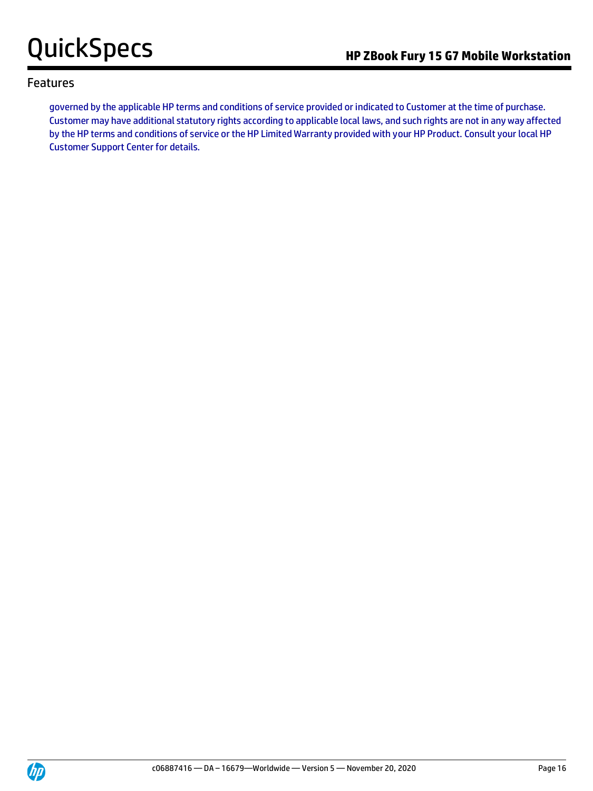#### Features

governed by the applicable HP terms and conditions of service provided or indicated to Customer at the time of purchase. Customer may have additional statutory rights according to applicable local laws, and such rights are not in any way affected by the HP terms and conditions of service or the HP Limited Warranty provided with your HP Product. Consult your local HP Customer Support Center for details.

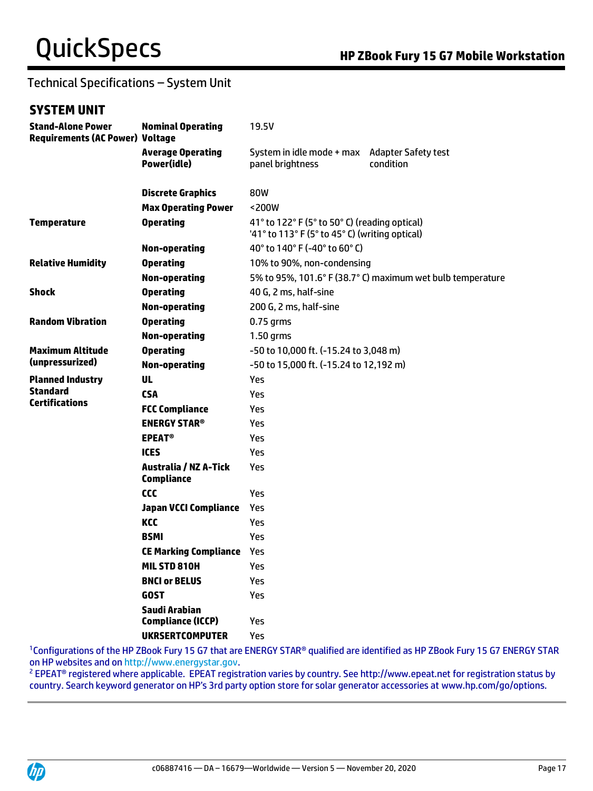## Technical Specifications – System Unit

### **SYSTEM UNIT**

| <b>Stand-Alone Power</b><br><b>Requirements (AC Power) Voltage</b> | <b>Nominal Operating</b>                          | 19.5V                                                                                           |                                                            |  |
|--------------------------------------------------------------------|---------------------------------------------------|-------------------------------------------------------------------------------------------------|------------------------------------------------------------|--|
|                                                                    | <b>Average Operating</b><br>Power(idle)           | System in idle mode + max Adapter Safety test<br>panel brightness                               | condition                                                  |  |
|                                                                    | <b>Discrete Graphics</b>                          | 80W                                                                                             |                                                            |  |
|                                                                    | <b>Max Operating Power</b>                        | <200W                                                                                           |                                                            |  |
| <b>Temperature</b>                                                 | <b>Operating</b>                                  | 41° to 122° F (5° to 50° C) (reading optical)<br>'41° to 113° F (5° to 45° C) (writing optical) |                                                            |  |
|                                                                    | <b>Non-operating</b>                              | 40° to 140° F (-40° to 60° C)                                                                   |                                                            |  |
| <b>Relative Humidity</b>                                           | <b>Operating</b>                                  | 10% to 90%, non-condensing                                                                      |                                                            |  |
|                                                                    | <b>Non-operating</b>                              |                                                                                                 | 5% to 95%, 101.6° F (38.7° C) maximum wet bulb temperature |  |
| <b>Shock</b>                                                       | <b>Operating</b>                                  | 40 G, 2 ms, half-sine                                                                           |                                                            |  |
|                                                                    | <b>Non-operating</b>                              | 200 G, 2 ms, half-sine                                                                          |                                                            |  |
| <b>Random Vibration</b>                                            | <b>Operating</b>                                  | $0.75$ grms                                                                                     |                                                            |  |
|                                                                    | <b>Non-operating</b>                              | $1.50$ grms                                                                                     |                                                            |  |
| <b>Maximum Altitude</b><br>(unpressurized)                         | <b>Operating</b>                                  | -50 to 10,000 ft. (-15.24 to 3,048 m)                                                           |                                                            |  |
|                                                                    | <b>Non-operating</b>                              | -50 to 15,000 ft. (-15.24 to 12,192 m)                                                          |                                                            |  |
| <b>Planned Industry</b>                                            | <b>UL</b>                                         | Yes                                                                                             |                                                            |  |
| <b>Standard</b>                                                    | <b>CSA</b>                                        | Yes                                                                                             |                                                            |  |
| <b>Certifications</b>                                              | <b>FCC Compliance</b>                             | Yes                                                                                             |                                                            |  |
|                                                                    | <b>ENERGY STAR<sup>®</sup></b>                    | Yes                                                                                             |                                                            |  |
|                                                                    | <b>EPEAT<sup>®</sup></b>                          | Yes                                                                                             |                                                            |  |
|                                                                    | <b>ICES</b>                                       | Yes                                                                                             |                                                            |  |
|                                                                    | <b>Australia / NZ A-Tick</b><br><b>Compliance</b> | Yes                                                                                             |                                                            |  |
|                                                                    | CCC                                               | Yes                                                                                             |                                                            |  |
|                                                                    | <b>Japan VCCI Compliance</b>                      | Yes                                                                                             |                                                            |  |
|                                                                    | KCC                                               | Yes                                                                                             |                                                            |  |
|                                                                    | <b>BSMI</b>                                       | Yes                                                                                             |                                                            |  |
|                                                                    | <b>CE Marking Compliance</b>                      | Yes                                                                                             |                                                            |  |
|                                                                    | MIL STD 810H                                      | Yes                                                                                             |                                                            |  |
|                                                                    | <b>BNCI or BELUS</b>                              | Yes                                                                                             |                                                            |  |
|                                                                    | <b>GOST</b>                                       | Yes                                                                                             |                                                            |  |
|                                                                    | Saudi Arabian                                     |                                                                                                 |                                                            |  |
|                                                                    | <b>Compliance (ICCP)</b>                          | Yes                                                                                             |                                                            |  |
|                                                                    | <b>UKRSERTCOMPUTER</b>                            | Yes                                                                                             |                                                            |  |

<sup>1</sup>Configurations of the HP ZBook Fury 15 G7 that are ENERGY STAR® qualified are identified as HP ZBook Fury 15 G7 ENERGY STAR on HP websites and o[n http://www.energystar.gov.](http://www.energystar.gov/)

<sup>2</sup> EPEAT<sup>®</sup> registered where applicable. EPEAT registration varies by country. See http://www.epeat.net for registration status by country. Search keyword generator on HP's 3rd party option store for solar generator accessories at www.hp.com/go/options.

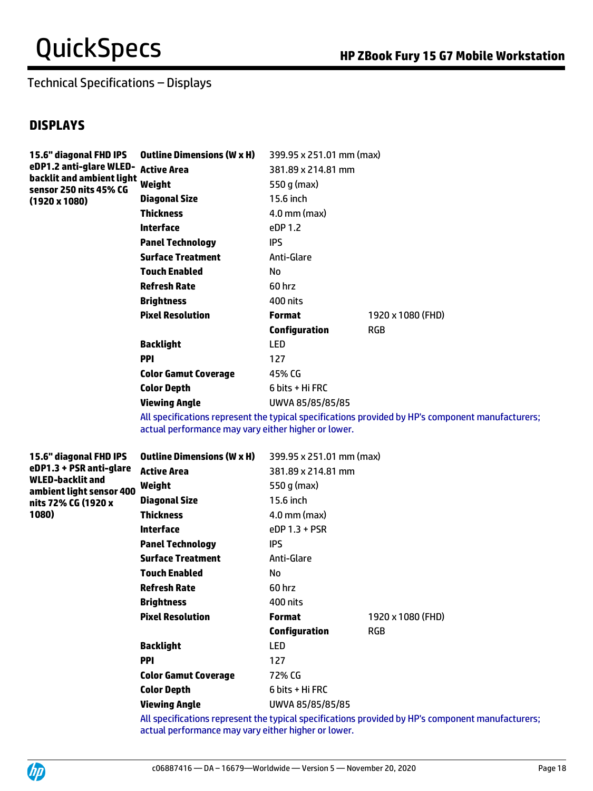### Technical Specifications – Displays

### **DISPLAYS**

| 15.6" diagonal FHD IPS<br>eDP1.2 anti-glare WLED- Active Area<br>backlit and ambient light<br>sensor 250 nits 45% CG<br>$(1920 \times 1080)$ | <b>Outline Dimensions (W x H)</b> | 399.95 x 251.01 mm (max) |                   |
|----------------------------------------------------------------------------------------------------------------------------------------------|-----------------------------------|--------------------------|-------------------|
|                                                                                                                                              |                                   | 381.89 x 214.81 mm       |                   |
|                                                                                                                                              | Weight                            | 550 g (max)              |                   |
|                                                                                                                                              | <b>Diagonal Size</b>              | 15.6 inch                |                   |
|                                                                                                                                              | <b>Thickness</b>                  | $4.0$ mm (max)           |                   |
|                                                                                                                                              | Interface                         | eDP 1.2                  |                   |
|                                                                                                                                              | <b>Panel Technology</b>           | IPS.                     |                   |
|                                                                                                                                              | <b>Surface Treatment</b>          | Anti-Glare               |                   |
|                                                                                                                                              | <b>Touch Enabled</b>              | No                       |                   |
|                                                                                                                                              | <b>Refresh Rate</b>               | 60 hrz                   |                   |
|                                                                                                                                              | <b>Brightness</b>                 | 400 nits                 |                   |
|                                                                                                                                              | <b>Pixel Resolution</b>           | <b>Format</b>            | 1920 x 1080 (FHD) |
|                                                                                                                                              |                                   | <b>Configuration</b>     | <b>RGB</b>        |
|                                                                                                                                              | <b>Backlight</b>                  | <b>LED</b>               |                   |
|                                                                                                                                              | <b>PPI</b>                        | 127                      |                   |
|                                                                                                                                              | <b>Color Gamut Coverage</b>       | 45% CG                   |                   |
|                                                                                                                                              | <b>Color Depth</b>                | 6 bits + Hi FRC          |                   |
|                                                                                                                                              | <b>Viewing Angle</b>              | UWVA 85/85/85/85         |                   |

All specifications represent the typical specifications provided by HP's component manufacturers; actual performance may vary either higher or lower.

**15.6" diagonal FHD IPS eDP1.3 + PSR anti-glare WLED-backlit and ambient light sensor 400 nits 72% CG (1920 x 1080)**

| Outline Dimensions (W x H)  | 399.95 x 251.01 mm (max) |                   |
|-----------------------------|--------------------------|-------------------|
| <b>Active Area</b>          | 381.89 x 214.81 mm       |                   |
| Weight                      | 550 g (max)              |                   |
| <b>Diagonal Size</b>        | 15.6 inch                |                   |
| <b>Thickness</b>            | $4.0$ mm (max)           |                   |
| Interface                   | $eDP$ 1.3 + PSR          |                   |
| <b>Panel Technology</b>     | IPS                      |                   |
| <b>Surface Treatment</b>    | Anti-Glare               |                   |
| <b>Touch Enabled</b>        | No.                      |                   |
| <b>Refresh Rate</b>         | 60 hrz                   |                   |
| <b>Brightness</b>           | 400 nits                 |                   |
| <b>Pixel Resolution</b>     | <b>Format</b>            | 1920 x 1080 (FHD) |
|                             | <b>Configuration</b>     | <b>RGB</b>        |
| <b>Backlight</b>            | LED                      |                   |
| <b>PPI</b>                  | 127                      |                   |
| <b>Color Gamut Coverage</b> | 72% CG                   |                   |
| <b>Color Depth</b>          | 6 bits + Hi FRC          |                   |
| <b>Viewing Angle</b>        | UWVA 85/85/85/85         |                   |

All specifications represent the typical specifications provided by HP's component manufacturers; actual performance may vary either higher or lower.

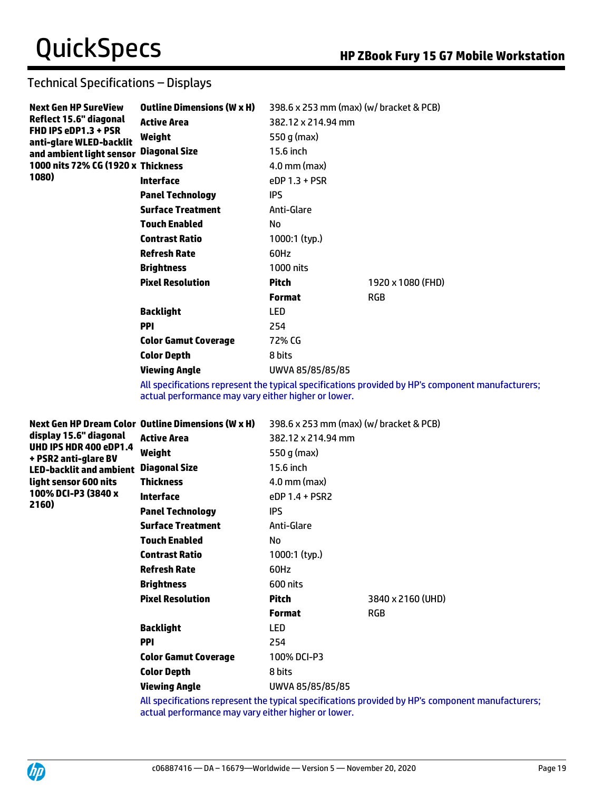### Technical Specifications – Displays

| <b>Next Gen HP SureView</b><br>Reflect 15.6" diagonal | <b>Outline Dimensions (W x H)</b> | 398.6 x 253 mm (max) (w/ bracket & PCB) |                                                                                                |
|-------------------------------------------------------|-----------------------------------|-----------------------------------------|------------------------------------------------------------------------------------------------|
|                                                       | <b>Active Area</b>                | 382.12 x 214.94 mm                      |                                                                                                |
| FHD IPS eDP1.3 + PSR<br>anti-glare WLED-backlit       | Weight                            | 550 g (max)                             |                                                                                                |
| and ambient light sensor                              | <b>Diagonal Size</b>              | 15.6 inch                               |                                                                                                |
| 1000 nits 72% CG (1920 x Thickness                    |                                   | $4.0$ mm (max)                          |                                                                                                |
| 1080)                                                 | <b>Interface</b>                  | eDP 1.3 + PSR                           |                                                                                                |
|                                                       | <b>Panel Technology</b>           | <b>IPS</b>                              |                                                                                                |
|                                                       | <b>Surface Treatment</b>          | Anti-Glare                              |                                                                                                |
|                                                       | <b>Touch Enabled</b>              | No                                      |                                                                                                |
|                                                       | <b>Contrast Ratio</b>             | 1000:1 (typ.)                           |                                                                                                |
|                                                       | <b>Refresh Rate</b>               | 60Hz                                    |                                                                                                |
|                                                       | <b>Brightness</b>                 | 1000 nits                               |                                                                                                |
|                                                       | <b>Pixel Resolution</b>           | <b>Pitch</b>                            | 1920 x 1080 (FHD)                                                                              |
|                                                       |                                   | <b>Format</b>                           | <b>RGB</b>                                                                                     |
|                                                       | <b>Backlight</b>                  | <b>LED</b>                              |                                                                                                |
|                                                       | <b>PPI</b>                        | 254                                     |                                                                                                |
|                                                       | <b>Color Gamut Coverage</b>       | 72% CG                                  |                                                                                                |
|                                                       | <b>Color Depth</b>                | 8 bits                                  |                                                                                                |
|                                                       | <b>Viewing Angle</b>              | UWVA 85/85/85/85                        |                                                                                                |
|                                                       |                                   |                                         | All concifications represent the typical specifications provided by HD's component manufacture |

All specifications represent the typical specifications provided by HP's component manufacturers; actual performance may vary either higher or lower.

| display 15.6" diagonal<br>UHD IPS HDR 400 eDP1.4<br>+ PSR2 anti-glare BV<br><b>LED-backlit and ambient</b> | Next Gen HP Dream Color Outline Dimensions (W x H) | 398.6 x 253 mm (max) (w/ bracket & PCB) |                   |
|------------------------------------------------------------------------------------------------------------|----------------------------------------------------|-----------------------------------------|-------------------|
|                                                                                                            | <b>Active Area</b>                                 | 382.12 x 214.94 mm                      |                   |
|                                                                                                            | Weight                                             | 550 g (max)                             |                   |
|                                                                                                            | <b>Diagonal Size</b>                               | 15.6 inch                               |                   |
| light sensor 600 nits                                                                                      | <b>Thickness</b>                                   | $4.0$ mm (max)                          |                   |
| 100% DCI-P3 (3840 x                                                                                        | Interface                                          | $eDP 1.4 + PSR2$                        |                   |
| 2160)                                                                                                      | <b>Panel Technology</b>                            | IPS.                                    |                   |
|                                                                                                            | <b>Surface Treatment</b>                           | Anti-Glare                              |                   |
|                                                                                                            | <b>Touch Enabled</b>                               | No                                      |                   |
|                                                                                                            | <b>Contrast Ratio</b>                              | 1000:1 (typ.)                           |                   |
|                                                                                                            | <b>Refresh Rate</b>                                | 60Hz                                    |                   |
|                                                                                                            | <b>Brightness</b>                                  | 600 nits                                |                   |
|                                                                                                            | <b>Pixel Resolution</b>                            | <b>Pitch</b>                            | 3840 x 2160 (UHD) |
|                                                                                                            |                                                    | <b>Format</b>                           | <b>RGB</b>        |
|                                                                                                            | <b>Backlight</b>                                   | <b>LED</b>                              |                   |
|                                                                                                            | <b>PPI</b>                                         | 254                                     |                   |
|                                                                                                            | <b>Color Gamut Coverage</b>                        | 100% DCI-P3                             |                   |
|                                                                                                            | <b>Color Depth</b>                                 | 8 bits                                  |                   |
|                                                                                                            | Viewing Angle                                      | UWVA 85/85/85/85                        |                   |

All specifications represent the typical specifications provided by HP's component manufacturers; actual performance may vary either higher or lower.

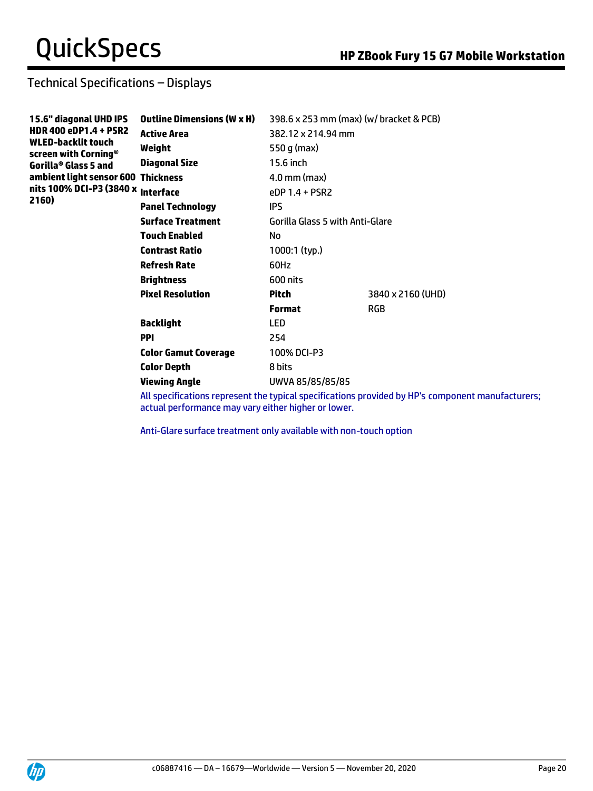## Technical Specifications – Displays

| 15.6" diagonal UHD IPS<br><b>HDR 400 eDP1.4 + PSR2</b><br><b>WLED-backlit touch</b><br>screen with Corning <sup>®</sup> | <b>Outline Dimensions (W x H)</b> | 398.6 x 253 mm (max) (w/ bracket & PCB) |                                                                                           |
|-------------------------------------------------------------------------------------------------------------------------|-----------------------------------|-----------------------------------------|-------------------------------------------------------------------------------------------|
|                                                                                                                         | <b>Active Area</b>                | 382.12 x 214.94 mm                      |                                                                                           |
|                                                                                                                         | Weight                            | 550 g (max)                             |                                                                                           |
| Gorilla® Glass 5 and                                                                                                    | <b>Diagonal Size</b>              | 15.6 inch                               |                                                                                           |
| ambient light sensor 600 Thickness                                                                                      |                                   | $4.0$ mm (max)                          |                                                                                           |
| nits 100% DCI-P3 (3840 x Interface                                                                                      |                                   | eDP 1.4 + PSR2                          |                                                                                           |
| 2160)                                                                                                                   | <b>Panel Technology</b>           | IPS.                                    |                                                                                           |
|                                                                                                                         | <b>Surface Treatment</b>          | Gorilla Glass 5 with Anti-Glare         |                                                                                           |
|                                                                                                                         | <b>Touch Enabled</b>              | No                                      |                                                                                           |
|                                                                                                                         | <b>Contrast Ratio</b>             | 1000:1 (typ.)                           |                                                                                           |
|                                                                                                                         | <b>Refresh Rate</b>               | 60Hz                                    |                                                                                           |
|                                                                                                                         | <b>Brightness</b>                 | 600 nits                                |                                                                                           |
|                                                                                                                         | <b>Pixel Resolution</b>           | <b>Pitch</b>                            | 3840 x 2160 (UHD)                                                                         |
|                                                                                                                         |                                   | <b>Format</b>                           | <b>RGB</b>                                                                                |
|                                                                                                                         | <b>Backlight</b>                  | <b>LED</b>                              |                                                                                           |
|                                                                                                                         | <b>PPI</b>                        | 254                                     |                                                                                           |
|                                                                                                                         | <b>Color Gamut Coverage</b>       | 100% DCI-P3                             |                                                                                           |
|                                                                                                                         | <b>Color Depth</b>                | 8 bits                                  |                                                                                           |
|                                                                                                                         | <b>Viewing Angle</b>              | UWVA 85/85/85/85                        |                                                                                           |
|                                                                                                                         |                                   |                                         | All concifications represent the typical specifications provided by HD's component manufa |

All specifications represent the typical specifications provided by HP's component manufacturers; actual performance may vary either higher or lower.

Anti-Glare surface treatment only available with non-touch option

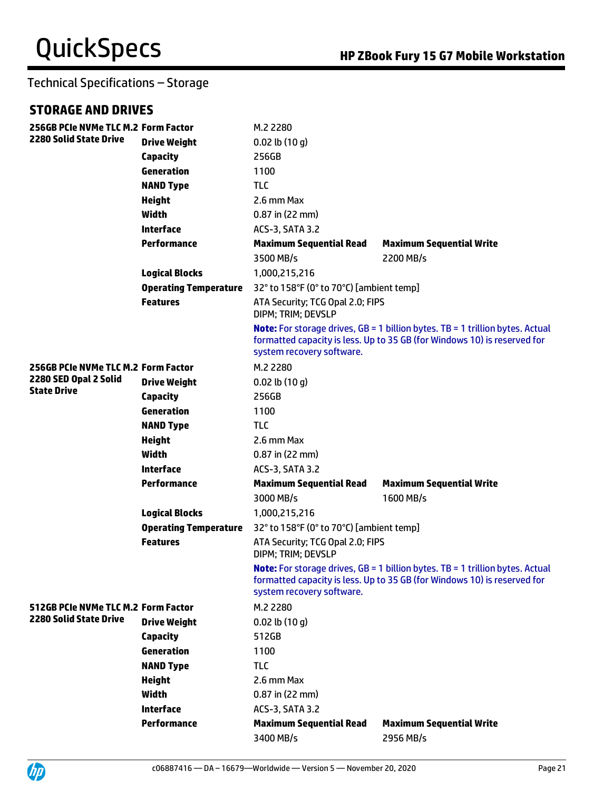### Technical Specifications – Storage

### **STORAGE AND DRIVES**

| 256GB PCIe NVMe TLC M.2 Form Factor |                              | M.2 2280                                               |                                                                                                                                                                  |
|-------------------------------------|------------------------------|--------------------------------------------------------|------------------------------------------------------------------------------------------------------------------------------------------------------------------|
| <b>2280 Solid State Drive</b>       | <b>Drive Weight</b>          | $0.02$ lb $(10 g)$                                     |                                                                                                                                                                  |
|                                     | <b>Capacity</b>              | 256GB                                                  |                                                                                                                                                                  |
|                                     | Generation                   | 1100                                                   |                                                                                                                                                                  |
|                                     | <b>NAND Type</b>             | <b>TLC</b>                                             |                                                                                                                                                                  |
|                                     | <b>Height</b>                | 2.6 mm Max                                             |                                                                                                                                                                  |
|                                     | Width                        | $0.87$ in (22 mm)                                      |                                                                                                                                                                  |
|                                     | <b>Interface</b>             | ACS-3, SATA 3.2                                        |                                                                                                                                                                  |
|                                     | <b>Performance</b>           | <b>Maximum Sequential Read</b>                         | <b>Maximum Sequential Write</b>                                                                                                                                  |
|                                     |                              | 3500 MB/s                                              | 2200 MB/s                                                                                                                                                        |
|                                     | <b>Logical Blocks</b>        | 1,000,215,216                                          |                                                                                                                                                                  |
|                                     | <b>Operating Temperature</b> | 32° to 158°F (0° to 70°C) [ambient temp]               |                                                                                                                                                                  |
|                                     | <b>Features</b>              | ATA Security; TCG Opal 2.0; FIPS<br>DIPM; TRIM; DEVSLP |                                                                                                                                                                  |
|                                     |                              | system recovery software.                              | <b>Note:</b> For storage drives, GB = 1 billion bytes. TB = 1 trillion bytes. Actual<br>formatted capacity is less. Up to 35 GB (for Windows 10) is reserved for |
| 256GB PCIe NVMe TLC M.2 Form Factor |                              | M.2 2280                                               |                                                                                                                                                                  |
| 2280 SED Opal 2 Solid               | <b>Drive Weight</b>          | $0.02$ lb $(10 g)$                                     |                                                                                                                                                                  |
| <b>State Drive</b>                  | <b>Capacity</b>              | 256GB                                                  |                                                                                                                                                                  |
|                                     | Generation                   | 1100                                                   |                                                                                                                                                                  |
|                                     | <b>NAND Type</b>             | <b>TLC</b>                                             |                                                                                                                                                                  |
|                                     | <b>Height</b>                | 2.6 mm Max                                             |                                                                                                                                                                  |
|                                     | <b>Width</b>                 | $0.87$ in (22 mm)                                      |                                                                                                                                                                  |
|                                     | <b>Interface</b>             | ACS-3, SATA 3.2                                        |                                                                                                                                                                  |
|                                     | <b>Performance</b>           | <b>Maximum Sequential Read</b>                         | <b>Maximum Sequential Write</b>                                                                                                                                  |
|                                     |                              | 3000 MB/s                                              | 1600 MB/s                                                                                                                                                        |
|                                     | <b>Logical Blocks</b>        | 1,000,215,216                                          |                                                                                                                                                                  |
|                                     | <b>Operating Temperature</b> | 32° to 158°F (0° to 70°C) [ambient temp]               |                                                                                                                                                                  |
|                                     | <b>Features</b>              | ATA Security; TCG Opal 2.0; FIPS<br>DIPM; TRIM; DEVSLP |                                                                                                                                                                  |
|                                     |                              | system recovery software.                              | <b>Note:</b> For storage drives, GB = 1 billion bytes. TB = 1 trillion bytes. Actual<br>formatted capacity is less. Up to 35 GB (for Windows 10) is reserved for |
| 512GB PCIe NVMe TLC M.2 Form Factor |                              | M.2 2280                                               |                                                                                                                                                                  |
| 2280 Solid State Drive              | <b>Drive Weight</b>          | $0.02$ lb $(10q)$                                      |                                                                                                                                                                  |
|                                     | Capacity                     | 512GB                                                  |                                                                                                                                                                  |
|                                     | Generation                   | 1100                                                   |                                                                                                                                                                  |
|                                     | <b>NAND Type</b>             | <b>TLC</b>                                             |                                                                                                                                                                  |
|                                     | <b>Height</b>                | 2.6 mm Max                                             |                                                                                                                                                                  |
|                                     | <b>Width</b>                 | $0.87$ in (22 mm)                                      |                                                                                                                                                                  |
|                                     | <b>Interface</b>             | ACS-3, SATA 3.2                                        |                                                                                                                                                                  |
|                                     | <b>Performance</b>           | <b>Maximum Sequential Read</b>                         | <b>Maximum Sequential Write</b>                                                                                                                                  |
|                                     |                              | 3400 MB/s                                              | 2956 MB/s                                                                                                                                                        |

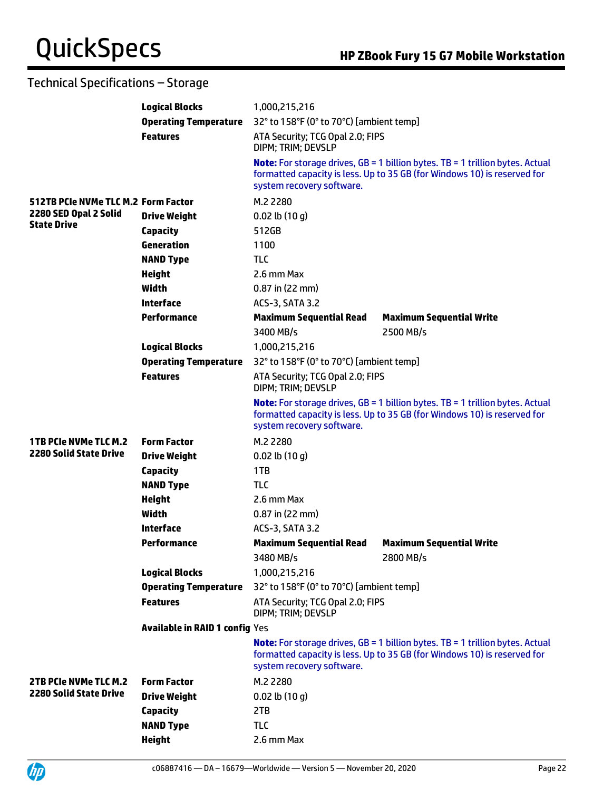## Technical Specifications – Storage

|                                            | <b>Logical Blocks</b>          | 1,000,215,216                                          |                                                                                                                                                                    |
|--------------------------------------------|--------------------------------|--------------------------------------------------------|--------------------------------------------------------------------------------------------------------------------------------------------------------------------|
|                                            | <b>Operating Temperature</b>   | 32° to 158°F (0° to 70°C) [ambient temp]               |                                                                                                                                                                    |
|                                            | <b>Features</b>                | ATA Security; TCG Opal 2.0; FIPS<br>DIPM; TRIM; DEVSLP |                                                                                                                                                                    |
|                                            |                                | system recovery software.                              | <b>Note:</b> For storage drives, GB = 1 billion bytes. TB = 1 trillion bytes. Actual<br>formatted capacity is less. Up to 35 GB (for Windows 10) is reserved for   |
| <b>512TB PCIe NVMe TLC M.2 Form Factor</b> |                                | M.2 2280                                               |                                                                                                                                                                    |
| 2280 SED Opal 2 Solid                      | <b>Drive Weight</b>            | $0.02$ lb $(10q)$                                      |                                                                                                                                                                    |
| <b>State Drive</b>                         | Capacity                       | 512GB                                                  |                                                                                                                                                                    |
|                                            | Generation                     | 1100                                                   |                                                                                                                                                                    |
|                                            | <b>NAND Type</b>               | <b>TLC</b>                                             |                                                                                                                                                                    |
|                                            | <b>Height</b>                  | 2.6 mm Max                                             |                                                                                                                                                                    |
|                                            | <b>Width</b>                   | $0.87$ in (22 mm)                                      |                                                                                                                                                                    |
|                                            | <b>Interface</b>               | <b>ACS-3, SATA 3.2</b>                                 |                                                                                                                                                                    |
|                                            | Performance                    | <b>Maximum Sequential Read</b><br>3400 MB/s            | <b>Maximum Sequential Write</b><br>2500 MB/s                                                                                                                       |
|                                            | <b>Logical Blocks</b>          | 1,000,215,216                                          |                                                                                                                                                                    |
|                                            | <b>Operating Temperature</b>   | 32° to 158°F (0° to 70°C) [ambient temp]               |                                                                                                                                                                    |
|                                            | <b>Features</b>                | ATA Security; TCG Opal 2.0; FIPS<br>DIPM; TRIM; DEVSLP |                                                                                                                                                                    |
|                                            |                                | system recovery software.                              | <b>Note:</b> For storage drives, $GB = 1$ billion bytes. TB = 1 trillion bytes. Actual<br>formatted capacity is less. Up to 35 GB (for Windows 10) is reserved for |
| <b>1TB PCIe NVMe TLC M.2</b>               | <b>Form Factor</b>             | M.2 2280                                               |                                                                                                                                                                    |
| <b>2280 Solid State Drive</b>              | <b>Drive Weight</b>            | $0.02$ lb $(10q)$                                      |                                                                                                                                                                    |
|                                            | Capacity                       | 1TB                                                    |                                                                                                                                                                    |
|                                            | <b>NAND Type</b>               | <b>TLC</b>                                             |                                                                                                                                                                    |
|                                            | <b>Height</b>                  | 2.6 mm Max                                             |                                                                                                                                                                    |
|                                            | Width                          | 0.87 in (22 mm)                                        |                                                                                                                                                                    |
|                                            | <b>Interface</b>               | <b>ACS-3, SATA 3.2</b>                                 |                                                                                                                                                                    |
|                                            | Performance                    | <b>Maximum Sequential Read</b>                         | <b>Maximum Sequential Write</b>                                                                                                                                    |
|                                            |                                | 3480 MB/s                                              | 2800 MB/s                                                                                                                                                          |
|                                            | <b>Logical Blocks</b>          | 1,000,215,216                                          |                                                                                                                                                                    |
|                                            | <b>Operating Temperature</b>   | 32° to 158°F (0° to 70°C) [ambient temp]               |                                                                                                                                                                    |
|                                            | <b>Features</b>                | ATA Security; TCG Opal 2.0; FIPS<br>DIPM; TRIM; DEVSLP |                                                                                                                                                                    |
|                                            | Available in RAID 1 config Yes |                                                        |                                                                                                                                                                    |
|                                            |                                | system recovery software.                              | <b>Note:</b> For storage drives, GB = 1 billion bytes. TB = 1 trillion bytes. Actual<br>formatted capacity is less. Up to 35 GB (for Windows 10) is reserved for   |
| 2TB PCIe NVMe TLC M.2                      | <b>Form Factor</b>             | M.2 2280                                               |                                                                                                                                                                    |
| <b>2280 Solid State Drive</b>              | <b>Drive Weight</b>            | $0.02$ lb $(10 g)$                                     |                                                                                                                                                                    |
|                                            | Capacity                       | 2TB                                                    |                                                                                                                                                                    |
|                                            | <b>NAND Type</b>               | <b>TLC</b>                                             |                                                                                                                                                                    |
|                                            | <b>Height</b>                  | 2.6 mm Max                                             |                                                                                                                                                                    |

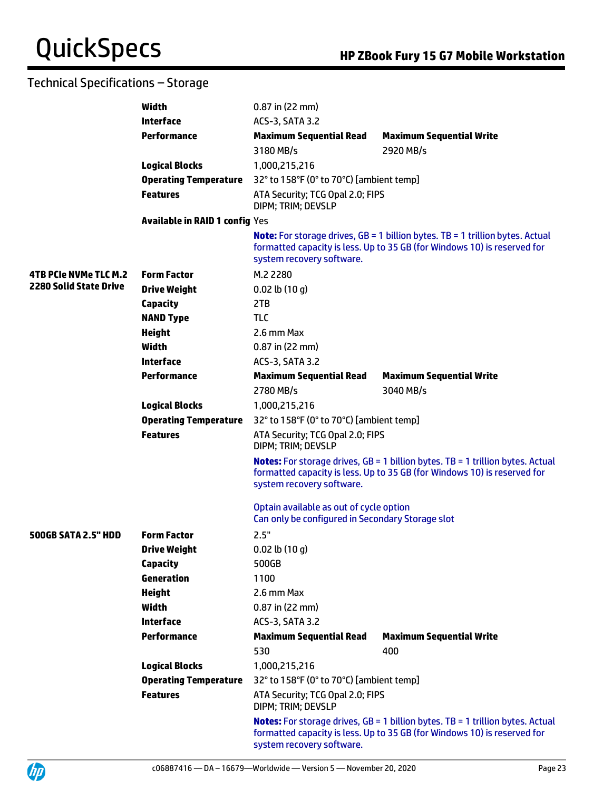## Technical Specifications – Storage

|                               | <b>Width</b>                          | $0.87$ in (22 mm)                                                                           |                                                                                                                                                                     |
|-------------------------------|---------------------------------------|---------------------------------------------------------------------------------------------|---------------------------------------------------------------------------------------------------------------------------------------------------------------------|
|                               | <b>Interface</b>                      | ACS-3, SATA 3.2                                                                             |                                                                                                                                                                     |
|                               | <b>Performance</b>                    | <b>Maximum Sequential Read</b>                                                              | <b>Maximum Sequential Write</b>                                                                                                                                     |
|                               |                                       | 3180 MB/s                                                                                   | 2920 MB/s                                                                                                                                                           |
|                               | <b>Logical Blocks</b>                 | 1,000,215,216                                                                               |                                                                                                                                                                     |
|                               | <b>Operating Temperature</b>          | 32° to 158°F (0° to 70°C) [ambient temp]                                                    |                                                                                                                                                                     |
|                               | <b>Features</b>                       | ATA Security; TCG Opal 2.0; FIPS<br>DIPM; TRIM; DEVSLP                                      |                                                                                                                                                                     |
|                               | <b>Available in RAID 1 config Yes</b> |                                                                                             |                                                                                                                                                                     |
|                               |                                       | system recovery software.                                                                   | <b>Note:</b> For storage drives, $GB = 1$ billion bytes. TB = 1 trillion bytes. Actual<br>formatted capacity is less. Up to 35 GB (for Windows 10) is reserved for  |
| <b>4TB PCIe NVMe TLC M.2</b>  | <b>Form Factor</b>                    | M.2 2280                                                                                    |                                                                                                                                                                     |
| <b>2280 Solid State Drive</b> | <b>Drive Weight</b>                   | $0.02$ lb $(10q)$                                                                           |                                                                                                                                                                     |
|                               | <b>Capacity</b>                       | 2TB                                                                                         |                                                                                                                                                                     |
|                               | <b>NAND Type</b>                      | <b>TLC</b>                                                                                  |                                                                                                                                                                     |
|                               | <b>Height</b>                         | 2.6 mm Max                                                                                  |                                                                                                                                                                     |
|                               | <b>Width</b>                          | $0.87$ in (22 mm)                                                                           |                                                                                                                                                                     |
|                               | <b>Interface</b>                      | ACS-3, SATA 3.2                                                                             |                                                                                                                                                                     |
|                               | <b>Performance</b>                    | <b>Maximum Sequential Read</b>                                                              | <b>Maximum Sequential Write</b>                                                                                                                                     |
|                               |                                       | 2780 MB/s                                                                                   | 3040 MB/s                                                                                                                                                           |
|                               | <b>Logical Blocks</b>                 | 1,000,215,216                                                                               |                                                                                                                                                                     |
|                               | <b>Operating Temperature</b>          | 32° to 158°F (0° to 70°C) [ambient temp]                                                    |                                                                                                                                                                     |
|                               | <b>Features</b>                       | ATA Security; TCG Opal 2.0; FIPS<br>DIPM; TRIM; DEVSLP                                      |                                                                                                                                                                     |
|                               |                                       | system recovery software.                                                                   | <b>Notes:</b> For storage drives, GB = 1 billion bytes. TB = 1 trillion bytes. Actual<br>formatted capacity is less. Up to 35 GB (for Windows 10) is reserved for   |
|                               |                                       | Optain available as out of cycle option<br>Can only be configured in Secondary Storage slot |                                                                                                                                                                     |
| <b>500GB SATA 2.5" HDD</b>    | <b>Form Factor</b>                    | 2.5"                                                                                        |                                                                                                                                                                     |
|                               | <b>Drive Weight</b>                   | $0.02$ lb $(10 g)$                                                                          |                                                                                                                                                                     |
|                               | <b>Capacity</b>                       | 500GB                                                                                       |                                                                                                                                                                     |
|                               | Generation                            | 1100                                                                                        |                                                                                                                                                                     |
|                               | <b>Height</b>                         | 2.6 mm Max                                                                                  |                                                                                                                                                                     |
|                               | Width                                 | $0.87$ in (22 mm)                                                                           |                                                                                                                                                                     |
|                               | <b>Interface</b>                      | ACS-3, SATA 3.2                                                                             |                                                                                                                                                                     |
|                               | <b>Performance</b>                    | <b>Maximum Sequential Read</b>                                                              | <b>Maximum Sequential Write</b>                                                                                                                                     |
|                               |                                       | 530                                                                                         | 400                                                                                                                                                                 |
|                               | <b>Logical Blocks</b>                 | 1,000,215,216                                                                               |                                                                                                                                                                     |
|                               | <b>Operating Temperature</b>          | 32° to 158°F (0° to 70°C) [ambient temp]                                                    |                                                                                                                                                                     |
|                               | <b>Features</b>                       | ATA Security; TCG Opal 2.0; FIPS<br>DIPM; TRIM; DEVSLP                                      |                                                                                                                                                                     |
|                               |                                       | system recovery software.                                                                   | <b>Notes:</b> For storage drives, $GB = 1$ billion bytes. TB = 1 trillion bytes. Actual<br>formatted capacity is less. Up to 35 GB (for Windows 10) is reserved for |

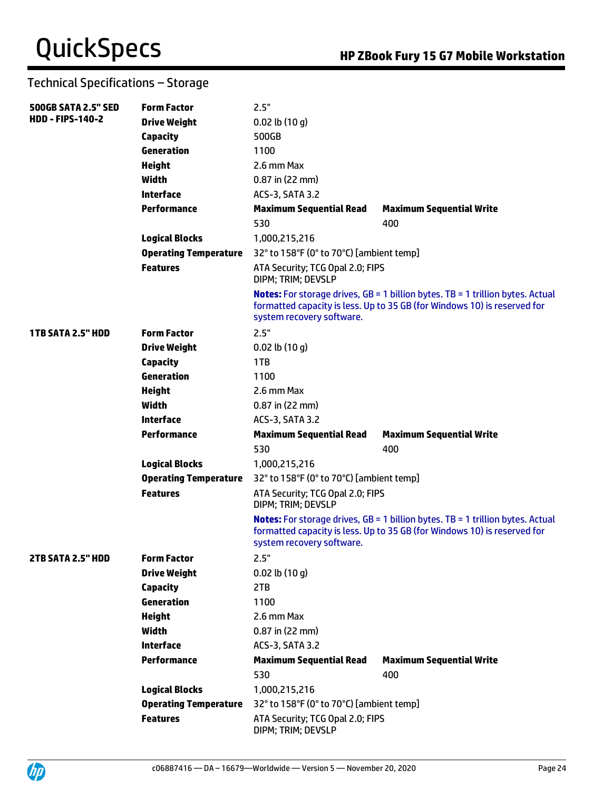## Technical Specifications – Storage

| <b>500GB SATA 2.5" SED</b> | <b>Form Factor</b>           | 2.5"                                                   |                                                                                                                                                                     |
|----------------------------|------------------------------|--------------------------------------------------------|---------------------------------------------------------------------------------------------------------------------------------------------------------------------|
| <b>HDD - FIPS-140-2</b>    | <b>Drive Weight</b>          | $0.02$ lb $(10 g)$                                     |                                                                                                                                                                     |
|                            | <b>Capacity</b>              | 500GB                                                  |                                                                                                                                                                     |
|                            | Generation                   | 1100                                                   |                                                                                                                                                                     |
|                            | <b>Height</b>                | 2.6 mm Max                                             |                                                                                                                                                                     |
|                            | <b>Width</b>                 | $0.87$ in (22 mm)                                      |                                                                                                                                                                     |
|                            | <b>Interface</b>             | ACS-3, SATA 3.2                                        |                                                                                                                                                                     |
|                            | <b>Performance</b>           | <b>Maximum Sequential Read</b>                         | <b>Maximum Sequential Write</b>                                                                                                                                     |
|                            |                              | 530                                                    | 400                                                                                                                                                                 |
|                            | <b>Logical Blocks</b>        | 1,000,215,216                                          |                                                                                                                                                                     |
|                            | <b>Operating Temperature</b> | 32° to 158°F (0° to 70°C) [ambient temp]               |                                                                                                                                                                     |
|                            | <b>Features</b>              | ATA Security; TCG Opal 2.0; FIPS<br>DIPM; TRIM; DEVSLP |                                                                                                                                                                     |
|                            |                              | system recovery software.                              | <b>Notes:</b> For storage drives, $GB = 1$ billion bytes. TB = 1 trillion bytes. Actual<br>formatted capacity is less. Up to 35 GB (for Windows 10) is reserved for |
| <b>1TB SATA 2.5" HDD</b>   | <b>Form Factor</b>           | 2.5"                                                   |                                                                                                                                                                     |
|                            | <b>Drive Weight</b>          | $0.02$ lb $(10 g)$                                     |                                                                                                                                                                     |
|                            | <b>Capacity</b>              | 1TB                                                    |                                                                                                                                                                     |
|                            | Generation                   | 1100                                                   |                                                                                                                                                                     |
|                            | <b>Height</b>                | 2.6 mm Max                                             |                                                                                                                                                                     |
|                            | Width                        | $0.87$ in (22 mm)                                      |                                                                                                                                                                     |
|                            | <b>Interface</b>             | ACS-3, SATA 3.2                                        |                                                                                                                                                                     |
|                            | <b>Performance</b>           | <b>Maximum Sequential Read</b>                         | <b>Maximum Sequential Write</b>                                                                                                                                     |
|                            |                              | 530                                                    | 400                                                                                                                                                                 |
|                            | <b>Logical Blocks</b>        | 1,000,215,216                                          |                                                                                                                                                                     |
|                            | <b>Operating Temperature</b> | 32° to 158°F (0° to 70°C) [ambient temp]               |                                                                                                                                                                     |
|                            | <b>Features</b>              | ATA Security; TCG Opal 2.0; FIPS<br>DIPM; TRIM; DEVSLP |                                                                                                                                                                     |
|                            |                              | system recovery software.                              | <b>Notes:</b> For storage drives, $GB = 1$ billion bytes. TB = 1 trillion bytes. Actual<br>formatted capacity is less. Up to 35 GB (for Windows 10) is reserved for |
| 2TB SATA 2.5" HDD          | <b>Form Factor</b>           | 2.5"                                                   |                                                                                                                                                                     |
|                            | <b>Drive Weight</b>          | $0.02$ lb $(10 g)$                                     |                                                                                                                                                                     |
|                            | <b>Capacity</b>              | 2TB                                                    |                                                                                                                                                                     |
|                            | Generation                   | 1100                                                   |                                                                                                                                                                     |
|                            | <b>Height</b>                | 2.6 mm Max                                             |                                                                                                                                                                     |
|                            | <b>Width</b>                 | 0.87 in (22 mm)                                        |                                                                                                                                                                     |
|                            | <b>Interface</b>             | ACS-3, SATA 3.2                                        |                                                                                                                                                                     |
|                            | <b>Performance</b>           | <b>Maximum Sequential Read</b>                         | <b>Maximum Sequential Write</b>                                                                                                                                     |
|                            |                              | 530                                                    | 400                                                                                                                                                                 |
|                            | <b>Logical Blocks</b>        | 1,000,215,216                                          |                                                                                                                                                                     |
|                            | <b>Operating Temperature</b> | 32° to 158°F (0° to 70°C) [ambient temp]               |                                                                                                                                                                     |
|                            | <b>Features</b>              | ATA Security; TCG Opal 2.0; FIPS<br>DIPM; TRIM; DEVSLP |                                                                                                                                                                     |

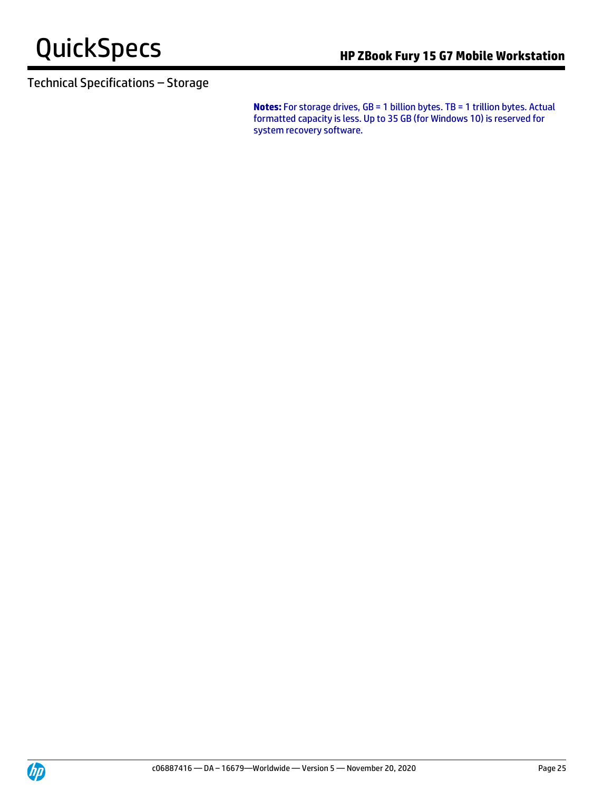## Technical Specifications – Storage

**Notes:** For storage drives, GB = 1 billion bytes. TB = 1 trillion bytes. Actual formatted capacity is less. Up to 35 GB (for Windows 10) is reserved for system recovery software.

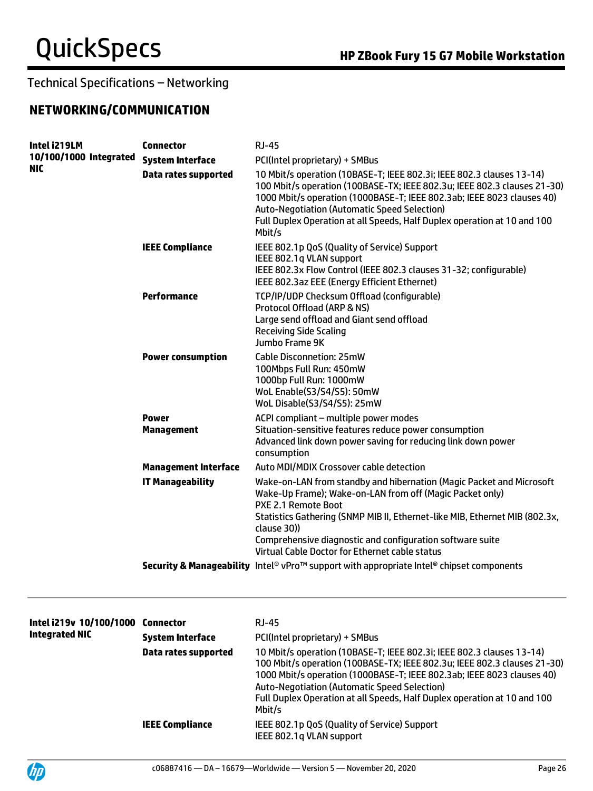### **NETWORKING/COMMUNICATION**

| Intel i219LM                  | <b>Connector</b>                  | <b>RJ-45</b>                                                                                                                                                                                                                                                                                                                                                             |
|-------------------------------|-----------------------------------|--------------------------------------------------------------------------------------------------------------------------------------------------------------------------------------------------------------------------------------------------------------------------------------------------------------------------------------------------------------------------|
| 10/100/1000 Integrated<br>NIC | <b>System Interface</b>           | PCI(Intel proprietary) + SMBus                                                                                                                                                                                                                                                                                                                                           |
|                               | <b>Data rates supported</b>       | 10 Mbit/s operation (10BASE-T; IEEE 802.3i; IEEE 802.3 clauses 13-14)<br>100 Mbit/s operation (100BASE-TX; IEEE 802.3u; IEEE 802.3 clauses 21-30)<br>1000 Mbit/s operation (1000BASE-T; IEEE 802.3ab; IEEE 8023 clauses 40)<br><b>Auto-Negotiation (Automatic Speed Selection)</b><br>Full Duplex Operation at all Speeds, Half Duplex operation at 10 and 100<br>Mbit/s |
|                               | <b>IEEE Compliance</b>            | IEEE 802.1p QoS (Quality of Service) Support<br>IEEE 802.1q VLAN support<br>IEEE 802.3x Flow Control (IEEE 802.3 clauses 31-32; configurable)<br>IEEE 802.3az EEE (Energy Efficient Ethernet)                                                                                                                                                                            |
|                               | <b>Performance</b>                | TCP/IP/UDP Checksum Offload (configurable)<br>Protocol Offload (ARP & NS)<br>Large send offload and Giant send offload<br><b>Receiving Side Scaling</b><br>Jumbo Frame 9K                                                                                                                                                                                                |
|                               | <b>Power consumption</b>          | <b>Cable Disconnetion: 25mW</b><br>100Mbps Full Run: 450mW<br>1000bp Full Run: 1000mW<br>WoL Enable(S3/S4/S5): 50mW<br>WoL Disable(S3/S4/S5): 25mW                                                                                                                                                                                                                       |
|                               | <b>Power</b><br><b>Management</b> | ACPI compliant - multiple power modes<br>Situation-sensitive features reduce power consumption<br>Advanced link down power saving for reducing link down power<br>consumption                                                                                                                                                                                            |
|                               | <b>Management Interface</b>       | Auto MDI/MDIX Crossover cable detection                                                                                                                                                                                                                                                                                                                                  |
|                               | <b>IT Manageability</b>           | Wake-on-LAN from standby and hibernation (Magic Packet and Microsoft<br>Wake-Up Frame); Wake-on-LAN from off (Magic Packet only)<br>PXE 2.1 Remote Boot<br>Statistics Gathering (SNMP MIB II, Ethernet-like MIB, Ethernet MIB (802.3x,<br>clause 30))<br>Comprehensive diagnostic and configuration software suite<br>Virtual Cable Doctor for Ethernet cable status     |
|                               |                                   | Security & Manageability Intel® vPro™ support with appropriate Intel® chipset components                                                                                                                                                                                                                                                                                 |
|                               |                                   |                                                                                                                                                                                                                                                                                                                                                                          |

| Intel i219v 10/100/1000<br><b>Integrated NIC</b> | Connector<br><b>System Interface</b><br>Data rates supported | RJ-45<br>PCI(Intel proprietary) + SMBus<br>10 Mbit/s operation (10BASE-T; IEEE 802.3i; IEEE 802.3 clauses 13-14)<br>100 Mbit/s operation (100BASE-TX; IEEE 802.3u; IEEE 802.3 clauses 21-30)<br>1000 Mbit/s operation (1000BASE-T; IEEE 802.3ab; IEEE 8023 clauses 40)<br>Auto-Negotiation (Automatic Speed Selection)<br>Full Duplex Operation at all Speeds, Half Duplex operation at 10 and 100<br>Mbit/s |
|--------------------------------------------------|--------------------------------------------------------------|--------------------------------------------------------------------------------------------------------------------------------------------------------------------------------------------------------------------------------------------------------------------------------------------------------------------------------------------------------------------------------------------------------------|
|                                                  | <b>IEEE Compliance</b>                                       | IEEE 802.1p QoS (Quality of Service) Support<br>IEEE 802.1q VLAN support                                                                                                                                                                                                                                                                                                                                     |

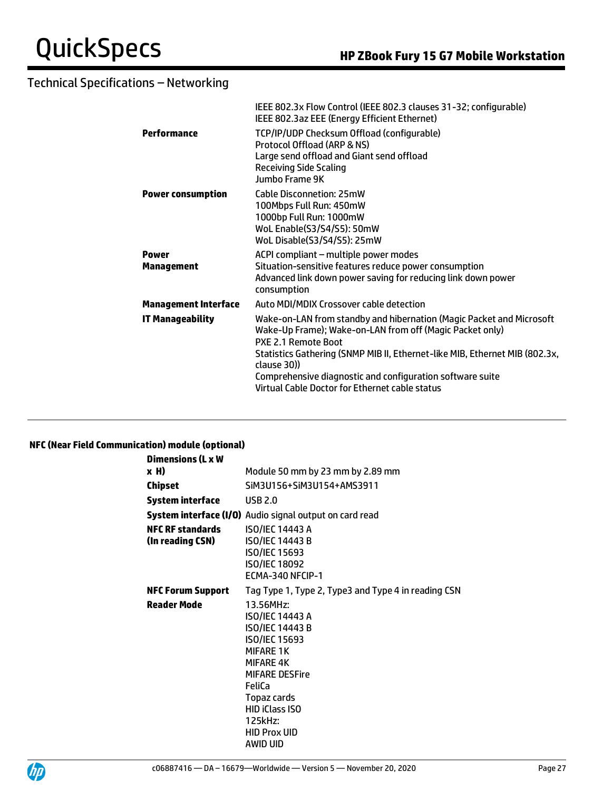|                             | IEEE 802.3x Flow Control (IEEE 802.3 clauses 31-32; configurable)<br>IEEE 802.3az EEE (Energy Efficient Ethernet)                                                         |
|-----------------------------|---------------------------------------------------------------------------------------------------------------------------------------------------------------------------|
| Performance                 | TCP/IP/UDP Checksum Offload (configurable)<br>Protocol Offload (ARP & NS)<br>Large send offload and Giant send offload<br><b>Receiving Side Scaling</b><br>Jumbo Frame 9K |
| <b>Power consumption</b>    | <b>Cable Disconnetion: 25mW</b><br>100Mbps Full Run: 450mW<br>1000bp Full Run: 1000mW<br>WoL Enable(S3/S4/S5): 50mW<br>WoL Disable(S3/S4/S5): 25mW                        |
| <b>Power</b>                | ACPI compliant - multiple power modes                                                                                                                                     |
| Management                  | Situation-sensitive features reduce power consumption<br>Advanced link down power saving for reducing link down power<br>consumption                                      |
| <b>Management Interface</b> | Auto MDI/MDIX Crossover cable detection                                                                                                                                   |
| <b>IT Manageability</b>     | Wake-on-LAN from standby and hibernation (Magic Packet and Microsoft<br>Wake-Up Frame); Wake-on-LAN from off (Magic Packet only)<br>PXE 2.1 Remote Boot                   |
|                             | Statistics Gathering (SNMP MIB II, Ethernet-like MIB, Ethernet MIB (802.3x,<br>clause 30))                                                                                |
|                             | Comprehensive diagnostic and configuration software suite<br>Virtual Cable Doctor for Ethernet cable status                                                               |
|                             |                                                                                                                                                                           |

#### **NFC (Near Field Communication) module (optional)**

| Dimensions (L x W                           |                                                                                                                                                                                                                                                        |
|---------------------------------------------|--------------------------------------------------------------------------------------------------------------------------------------------------------------------------------------------------------------------------------------------------------|
| x H)                                        | Module 50 mm by 23 mm by 2.89 mm                                                                                                                                                                                                                       |
| Chipset                                     | SiM3U156+SiM3U154+AMS3911                                                                                                                                                                                                                              |
| <b>System interface</b>                     | <b>USB 2.0</b>                                                                                                                                                                                                                                         |
|                                             | <b>System interface (I/O)</b> Audio signal output on card read                                                                                                                                                                                         |
| <b>NFC RF standards</b><br>(In reading CSN) | <b>ISO/IEC 14443 A</b><br><b>ISO/IEC 14443 B</b><br>ISO/IEC 15693<br>ISO/IEC 18092<br>ECMA-340 NFCIP-1                                                                                                                                                 |
| <b>NFC Forum Support</b>                    | Tag Type 1, Type 2, Type3 and Type 4 in reading CSN                                                                                                                                                                                                    |
| <b>Reader Mode</b>                          | 13.56MHz:<br><b>ISO/IEC 14443 A</b><br><b>ISO/IEC 14443 B</b><br><b>ISO/IEC 15693</b><br><b>MIFARE 1K</b><br><b>MIFARE 4K</b><br><b>MIFARE DESFire</b><br>FeliCa<br>Topaz cards<br><b>HID iClass ISO</b><br>125kHz:<br><b>HID Prox UID</b><br>AWID UID |

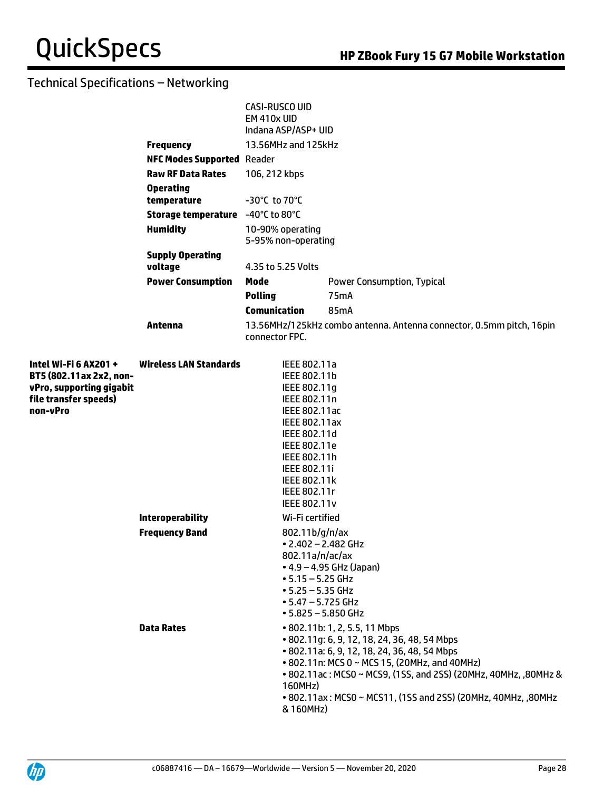|                                                                                                                   |                                    | <b>CASI-RUSCO UID</b><br>EM 410x UID<br>Indana ASP/ASP+ UID                                                                                                                                                           |                                                                                                                                                                                                                                                                                                                     |  |
|-------------------------------------------------------------------------------------------------------------------|------------------------------------|-----------------------------------------------------------------------------------------------------------------------------------------------------------------------------------------------------------------------|---------------------------------------------------------------------------------------------------------------------------------------------------------------------------------------------------------------------------------------------------------------------------------------------------------------------|--|
|                                                                                                                   | <b>Frequency</b>                   | 13.56MHz and 125kHz                                                                                                                                                                                                   |                                                                                                                                                                                                                                                                                                                     |  |
|                                                                                                                   | <b>NFC Modes Supported Reader</b>  |                                                                                                                                                                                                                       |                                                                                                                                                                                                                                                                                                                     |  |
|                                                                                                                   | <b>Raw RF Data Rates</b>           | 106, 212 kbps                                                                                                                                                                                                         |                                                                                                                                                                                                                                                                                                                     |  |
|                                                                                                                   | <b>Operating</b>                   |                                                                                                                                                                                                                       |                                                                                                                                                                                                                                                                                                                     |  |
|                                                                                                                   | temperature                        | $-30^{\circ}$ C to 70 $^{\circ}$ C                                                                                                                                                                                    |                                                                                                                                                                                                                                                                                                                     |  |
|                                                                                                                   | Storage temperature -40°C to 80°C  |                                                                                                                                                                                                                       |                                                                                                                                                                                                                                                                                                                     |  |
|                                                                                                                   | <b>Humidity</b>                    | 10-90% operating<br>5-95% non-operating                                                                                                                                                                               |                                                                                                                                                                                                                                                                                                                     |  |
|                                                                                                                   | <b>Supply Operating</b><br>voltage | 4.35 to 5.25 Volts                                                                                                                                                                                                    |                                                                                                                                                                                                                                                                                                                     |  |
|                                                                                                                   | <b>Power Consumption</b>           | Mode                                                                                                                                                                                                                  | Power Consumption, Typical                                                                                                                                                                                                                                                                                          |  |
|                                                                                                                   |                                    | <b>Polling</b>                                                                                                                                                                                                        | 75mA                                                                                                                                                                                                                                                                                                                |  |
|                                                                                                                   |                                    | <b>Comunication</b>                                                                                                                                                                                                   | 85mA                                                                                                                                                                                                                                                                                                                |  |
|                                                                                                                   | Antenna                            | connector FPC.                                                                                                                                                                                                        | 13.56MHz/125kHz combo antenna. Antenna connector, 0.5mm pitch, 16pin                                                                                                                                                                                                                                                |  |
| Intel Wi-Fi 6 AX201 +<br>BT5 (802.11ax 2x2, non-<br>vPro, supporting gigabit<br>file transfer speeds)<br>non-vPro | <b>Wireless LAN Standards</b>      | IEEE 802.11a<br>IEEE 802.11b<br>IEEE 802.11q<br>IEEE 802.11n<br>IEEE 802.11ac<br>IEEE 802.11ax<br>IEEE 802.11d<br>IEEE 802.11e<br>IEEE 802.11h<br>IEEE 802.11i<br><b>IEEE 802.11k</b><br>IEEE 802.11r<br>IEEE 802.11v |                                                                                                                                                                                                                                                                                                                     |  |
|                                                                                                                   | <b>Interoperability</b>            | Wi-Fi certified                                                                                                                                                                                                       |                                                                                                                                                                                                                                                                                                                     |  |
|                                                                                                                   | <b>Frequency Band</b>              | 802.11b/g/n/ax<br>$\bullet$ 2.402 - 2.482 GHz<br>802.11a/n/ac/ax<br>$-5.15 - 5.25$ GHz<br>$\cdot$ 5.25 – 5.35 GHz<br>$\cdot$ 5.47 – 5.725 GHz<br>$\cdot$ 5.825 – 5.850 GHz                                            | • 4.9 - 4.95 GHz (Japan)                                                                                                                                                                                                                                                                                            |  |
|                                                                                                                   | <b>Data Rates</b>                  | 160MHz)<br>& 160MHz)                                                                                                                                                                                                  | • 802.11b: 1, 2, 5.5, 11 Mbps<br>• 802.11g: 6, 9, 12, 18, 24, 36, 48, 54 Mbps<br>• 802.11a: 6, 9, 12, 18, 24, 36, 48, 54 Mbps<br>• 802.11n: MCS 0 ~ MCS 15, (20MHz, and 40MHz)<br>• 802.11 ac: MCS0 ~ MCS9, (1SS, and 2SS) (20MHz, 40MHz, ,80MHz &<br>• 802.11ax: MCS0 ~ MCS11, (1SS and 2SS) (20MHz, 40MHz, ,80MHz |  |

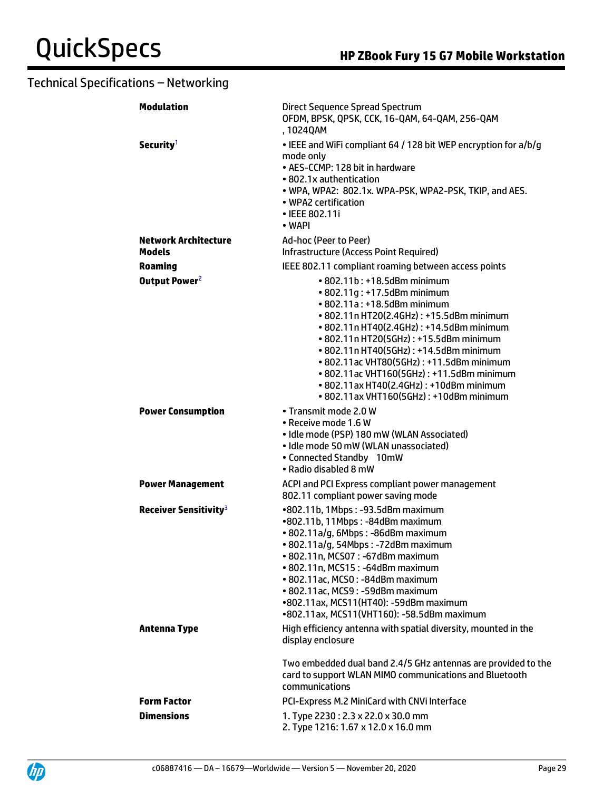| <b>Modulation</b>                            | Direct Sequence Spread Spectrum<br>OFDM, BPSK, QPSK, CCK, 16-QAM, 64-QAM, 256-QAM<br>, 1024QAM                                                                                                                                                                                                                                                                                                                                                         |  |
|----------------------------------------------|--------------------------------------------------------------------------------------------------------------------------------------------------------------------------------------------------------------------------------------------------------------------------------------------------------------------------------------------------------------------------------------------------------------------------------------------------------|--|
| Security <sup>1</sup>                        | • IEEE and WiFi compliant 64 / 128 bit WEP encryption for a/b/g<br>mode only<br>• AES-CCMP: 128 bit in hardware<br>• 802.1x authentication<br>• WPA, WPA2: 802.1x. WPA-PSK, WPA2-PSK, TKIP, and AES.<br>• WPA2 certification<br>• IEEE 802.11i<br>• WAPI                                                                                                                                                                                               |  |
| <b>Network Architecture</b><br><b>Models</b> | Ad-hoc (Peer to Peer)<br><b>Infrastructure (Access Point Required)</b>                                                                                                                                                                                                                                                                                                                                                                                 |  |
| <b>Roaming</b>                               | IEEE 802.11 compliant roaming between access points                                                                                                                                                                                                                                                                                                                                                                                                    |  |
| Output Power <sup>2</sup>                    | • 802.11b: +18.5dBm minimum<br>• 802.11g: +17.5dBm minimum<br>• 802.11a: +18.5dBm minimum<br>• 802.11n HT20(2.4GHz): +15.5dBm minimum<br>• 802.11n HT40(2.4GHz) : +14.5dBm minimum<br>• 802.11n HT20(5GHz): +15.5dBm minimum<br>• 802.11n HT40(5GHz): +14.5dBm minimum<br>• 802.11 ac VHT80(5GHz): +11.5dBm minimum<br>• 802.11ac VHT160(5GHz): +11.5dBm minimum<br>• 802.11ax HT40(2.4GHz): +10dBm minimum<br>• 802.11ax VHT160(5GHz): +10dBm minimum |  |
| <b>Power Consumption</b>                     | • Transmit mode 2.0 W<br>• Receive mode 1.6 W<br>· Idle mode (PSP) 180 mW (WLAN Associated)<br>· Idle mode 50 mW (WLAN unassociated)<br>• Connected Standby 10mW<br>• Radio disabled 8 mW                                                                                                                                                                                                                                                              |  |
| <b>Power Management</b>                      | ACPI and PCI Express compliant power management<br>802.11 compliant power saving mode                                                                                                                                                                                                                                                                                                                                                                  |  |
| Receiver Sensitivity <sup>3</sup>            | •802.11b, 1Mbps: -93.5dBm maximum<br>•802.11b, 11Mbps: -84dBm maximum<br>· 802.11a/g, 6Mbps: -86dBm maximum<br>· 802.11a/g, 54Mbps: -72dBm maximum<br>• 802.11n, MCS07: -67dBm maximum<br>• 802.11n, MCS15: -64dBm maximum<br>• 802.11ac, MCS0: -84dBm maximum<br>• 802.11ac, MCS9: -59dBm maximum<br>•802.11ax, MCS11(HT40): -59dBm maximum<br>•802.11ax, MCS11(VHT160): -58.5dBm maximum                                                             |  |
| <b>Antenna Type</b>                          | High efficiency antenna with spatial diversity, mounted in the<br>display enclosure                                                                                                                                                                                                                                                                                                                                                                    |  |
|                                              | Two embedded dual band 2.4/5 GHz antennas are provided to the<br>card to support WLAN MIMO communications and Bluetooth<br>communications                                                                                                                                                                                                                                                                                                              |  |
| <b>Form Factor</b>                           | PCI-Express M.2 MiniCard with CNVi Interface                                                                                                                                                                                                                                                                                                                                                                                                           |  |
| <b>Dimensions</b>                            | 1. Type 2230: 2.3 x 22.0 x 30.0 mm<br>2. Type 1216: 1.67 x 12.0 x 16.0 mm                                                                                                                                                                                                                                                                                                                                                                              |  |

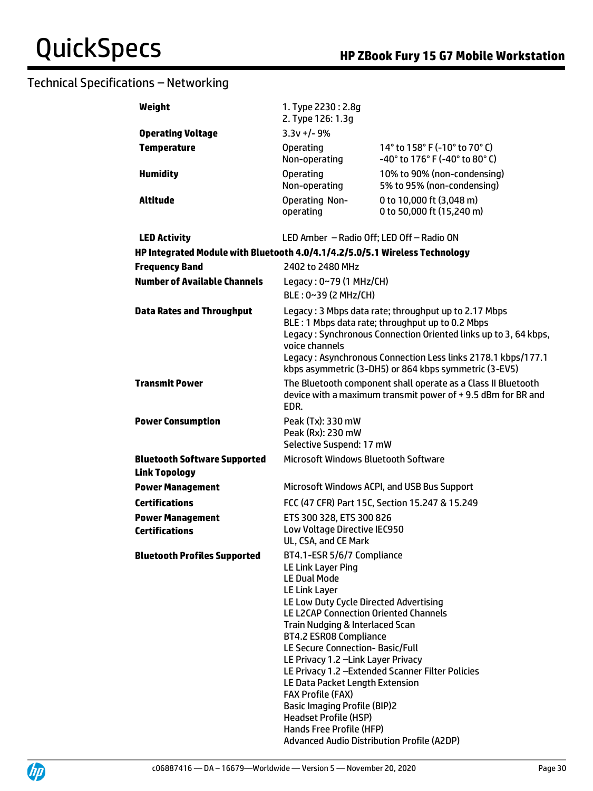| Weight                                                                      | 1. Type 2230: 2.8g<br>2. Type 126: 1.3g                                                                                                                                                                                                                                                                                |                                                                                                                              |
|-----------------------------------------------------------------------------|------------------------------------------------------------------------------------------------------------------------------------------------------------------------------------------------------------------------------------------------------------------------------------------------------------------------|------------------------------------------------------------------------------------------------------------------------------|
| <b>Operating Voltage</b>                                                    | $3.3v +/- 9%$                                                                                                                                                                                                                                                                                                          |                                                                                                                              |
| <b>Temperature</b>                                                          | <b>Operating</b>                                                                                                                                                                                                                                                                                                       | 14° to 158° F (-10° to 70° C)                                                                                                |
|                                                                             | Non-operating                                                                                                                                                                                                                                                                                                          | -40° to 176° F (-40° to 80° C)                                                                                               |
| <b>Humidity</b>                                                             | <b>Operating</b>                                                                                                                                                                                                                                                                                                       | 10% to 90% (non-condensing)                                                                                                  |
|                                                                             | Non-operating                                                                                                                                                                                                                                                                                                          | 5% to 95% (non-condensing)                                                                                                   |
| Altitude                                                                    | <b>Operating Non-</b><br>operating                                                                                                                                                                                                                                                                                     | 0 to 10,000 ft (3,048 m)<br>0 to 50,000 ft (15,240 m)                                                                        |
| <b>LED Activity</b>                                                         | LED Amber - Radio Off; LED Off - Radio ON                                                                                                                                                                                                                                                                              |                                                                                                                              |
| HP Integrated Module with Bluetooth 4.0/4.1/4.2/5.0/5.1 Wireless Technology |                                                                                                                                                                                                                                                                                                                        |                                                                                                                              |
| <b>Frequency Band</b>                                                       | 2402 to 2480 MHz                                                                                                                                                                                                                                                                                                       |                                                                                                                              |
| <b>Number of Available Channels</b>                                         | Legacy: 0~79 (1 MHz/CH)                                                                                                                                                                                                                                                                                                |                                                                                                                              |
|                                                                             | BLE: 0~39 (2 MHz/CH)                                                                                                                                                                                                                                                                                                   |                                                                                                                              |
| <b>Data Rates and Throughput</b>                                            | Legacy: 3 Mbps data rate; throughput up to 2.17 Mbps<br>BLE: 1 Mbps data rate; throughput up to 0.2 Mbps<br>Legacy: Synchronous Connection Oriented links up to 3, 64 kbps,<br>voice channels<br>Legacy: Asynchronous Connection Less links 2178.1 kbps/177.1<br>kbps asymmetric (3-DH5) or 864 kbps symmetric (3-EV5) |                                                                                                                              |
| <b>Transmit Power</b>                                                       | EDR.                                                                                                                                                                                                                                                                                                                   | The Bluetooth component shall operate as a Class II Bluetooth<br>device with a maximum transmit power of +9.5 dBm for BR and |
| <b>Power Consumption</b>                                                    | Peak (Tx): 330 mW<br>Peak (Rx): 230 mW<br>Selective Suspend: 17 mW                                                                                                                                                                                                                                                     |                                                                                                                              |
| <b>Bluetooth Software Supported</b><br><b>Link Topology</b>                 | Microsoft Windows Bluetooth Software                                                                                                                                                                                                                                                                                   |                                                                                                                              |
| <b>Power Management</b>                                                     |                                                                                                                                                                                                                                                                                                                        | Microsoft Windows ACPI, and USB Bus Support                                                                                  |
| <b>Certifications</b>                                                       |                                                                                                                                                                                                                                                                                                                        | FCC (47 CFR) Part 15C, Section 15.247 & 15.249                                                                               |
| <b>Power Management</b>                                                     | ETS 300 328, ETS 300 826                                                                                                                                                                                                                                                                                               |                                                                                                                              |
| <b>Certifications</b>                                                       | Low Voltage Directive IEC950                                                                                                                                                                                                                                                                                           |                                                                                                                              |
|                                                                             | UL, CSA, and CE Mark                                                                                                                                                                                                                                                                                                   |                                                                                                                              |
| <b>Bluetooth Profiles Supported</b>                                         | BT4.1-ESR 5/6/7 Compliance<br>LE Link Layer Ping                                                                                                                                                                                                                                                                       |                                                                                                                              |
|                                                                             | <b>LE Dual Mode</b>                                                                                                                                                                                                                                                                                                    |                                                                                                                              |
|                                                                             | LE Link Layer                                                                                                                                                                                                                                                                                                          |                                                                                                                              |
|                                                                             | LE Low Duty Cycle Directed Advertising                                                                                                                                                                                                                                                                                 |                                                                                                                              |
|                                                                             | LE L2CAP Connection Oriented Channels<br>Train Nudging & Interlaced Scan                                                                                                                                                                                                                                               |                                                                                                                              |
|                                                                             | BT4.2 ESR08 Compliance                                                                                                                                                                                                                                                                                                 |                                                                                                                              |
|                                                                             | LE Secure Connection-Basic/Full                                                                                                                                                                                                                                                                                        |                                                                                                                              |
|                                                                             | LE Privacy 1.2 - Link Layer Privacy                                                                                                                                                                                                                                                                                    |                                                                                                                              |
|                                                                             |                                                                                                                                                                                                                                                                                                                        | LE Privacy 1.2 - Extended Scanner Filter Policies                                                                            |
|                                                                             | LE Data Packet Length Extension<br><b>FAX Profile (FAX)</b>                                                                                                                                                                                                                                                            |                                                                                                                              |
|                                                                             | <b>Basic Imaging Profile (BIP)2</b>                                                                                                                                                                                                                                                                                    |                                                                                                                              |
|                                                                             | <b>Headset Profile (HSP)</b>                                                                                                                                                                                                                                                                                           |                                                                                                                              |
|                                                                             | Hands Free Profile (HFP)                                                                                                                                                                                                                                                                                               |                                                                                                                              |
|                                                                             | Advanced Audio Distribution Profile (A2DP)                                                                                                                                                                                                                                                                             |                                                                                                                              |

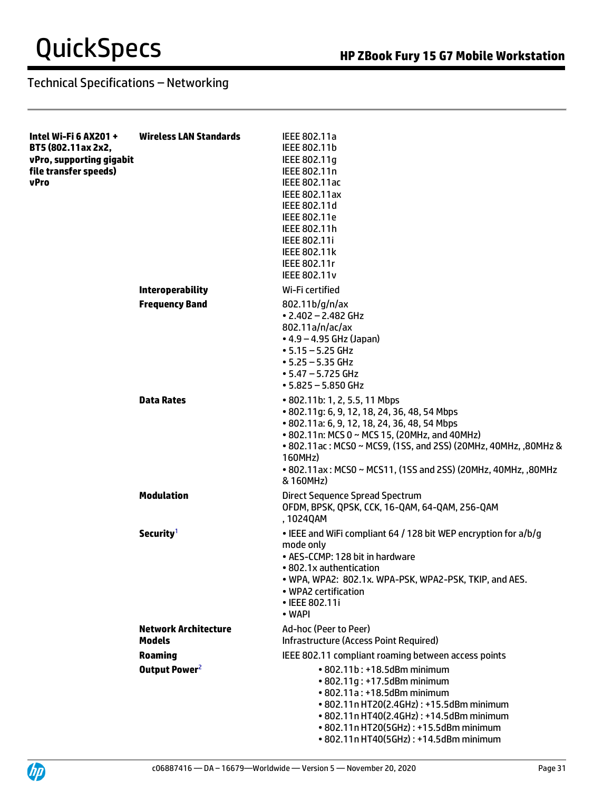| Intel Wi-Fi 6 AX201 +<br>BT5 (802.11ax 2x2,<br>vPro, supporting gigabit<br>file transfer speeds)<br>vPro | <b>Wireless LAN Standards</b>                | IEEE 802.11a<br>IEEE 802.11b<br>IEEE 802.11g<br>IEEE 802.11n<br>IEEE 802.11ac<br>IEEE 802.11ax<br>IEEE 802.11d<br>IEEE 802.11e<br>IEEE 802.11h<br><b>IEEE 802.11i</b><br>IEEE 802.11k<br>IEEE 802.11r<br>IEEE 802.11v                                                                                                                       |
|----------------------------------------------------------------------------------------------------------|----------------------------------------------|---------------------------------------------------------------------------------------------------------------------------------------------------------------------------------------------------------------------------------------------------------------------------------------------------------------------------------------------|
|                                                                                                          | <b>Interoperability</b>                      | Wi-Fi certified                                                                                                                                                                                                                                                                                                                             |
|                                                                                                          | <b>Frequency Band</b>                        | 802.11b/g/n/ax<br>$\cdot$ 2.402 - 2.482 GHz<br>802.11a/n/ac/ax<br>$\bullet$ 4.9 – 4.95 GHz (Japan)<br>$-5.15 - 5.25$ GHz<br>$• 5.25 - 5.35$ GHz<br>$\cdot$ 5.47 – 5.725 GHz<br>$\cdot$ 5.825 – 5.850 GHz                                                                                                                                    |
|                                                                                                          | <b>Data Rates</b>                            | • 802.11b: 1, 2, 5.5, 11 Mbps<br>• 802.11q: 6, 9, 12, 18, 24, 36, 48, 54 Mbps<br>• 802.11a: 6, 9, 12, 18, 24, 36, 48, 54 Mbps<br>• 802.11n: MCS 0 ~ MCS 15, (20MHz, and 40MHz)<br>• 802.11 ac: MCS0 ~ MCS9, (1SS, and 2SS) (20MHz, 40MHz, ,80MHz &<br>160MHz)<br>• 802.11ax: MCS0 ~ MCS11, (1SS and 2SS) (20MHz, 40MHz, ,80MHz<br>& 160MHz) |
|                                                                                                          | <b>Modulation</b>                            | Direct Sequence Spread Spectrum<br>OFDM, BPSK, QPSK, CCK, 16-QAM, 64-QAM, 256-QAM<br>, 1024QAM                                                                                                                                                                                                                                              |
|                                                                                                          | Security <sup>1</sup>                        | • IEEE and WiFi compliant 64 / 128 bit WEP encryption for a/b/g<br>mode only<br>• AES-CCMP: 128 bit in hardware<br>• 802.1x authentication<br>• WPA, WPA2: 802.1x. WPA-PSK, WPA2-PSK, TKIP, and AES.<br>• WPA2 certification<br>• IEEE 802.11i<br>• WAPI                                                                                    |
|                                                                                                          | <b>Network Architecture</b><br><b>Models</b> | Ad-hoc (Peer to Peer)<br><b>Infrastructure (Access Point Required)</b>                                                                                                                                                                                                                                                                      |
|                                                                                                          | <b>Roaming</b>                               | IEEE 802.11 compliant roaming between access points                                                                                                                                                                                                                                                                                         |
|                                                                                                          | Output Power <sup>2</sup>                    | • 802.11b: +18.5dBm minimum<br>• 802.11g: +17.5dBm minimum<br>• 802.11a: +18.5dBm minimum<br>• 802.11n HT20(2.4GHz): +15.5dBm minimum<br>• 802.11n HT40(2.4GHz): +14.5dBm minimum<br>• 802.11n HT20(5GHz): +15.5dBm minimum<br>• 802.11n HT40(5GHz): +14.5dBm minimum                                                                       |

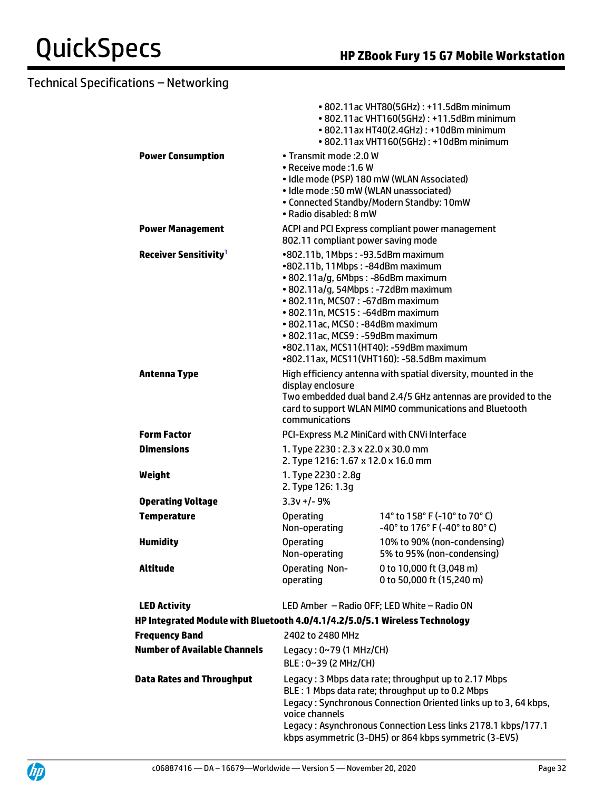|                                                                             |                                                                                                                                                                                                                                                                                                    | • 802.11ac VHT80(5GHz): +11.5dBm minimum<br>• 802.11ac VHT160(5GHz): +11.5dBm minimum<br>• 802.11ax HT40(2.4GHz): +10dBm minimum<br>• 802.11ax VHT160(5GHz): +10dBm minimum                                                                                                                          |
|-----------------------------------------------------------------------------|----------------------------------------------------------------------------------------------------------------------------------------------------------------------------------------------------------------------------------------------------------------------------------------------------|------------------------------------------------------------------------------------------------------------------------------------------------------------------------------------------------------------------------------------------------------------------------------------------------------|
| <b>Power Consumption</b>                                                    | • Transmit mode: 2.0 W<br>• Receive mode: 1.6 W<br>• Idle mode: 50 mW (WLAN unassociated)<br>· Radio disabled: 8 mW                                                                                                                                                                                | · Idle mode (PSP) 180 mW (WLAN Associated)<br>• Connected Standby/Modern Standby: 10mW                                                                                                                                                                                                               |
| <b>Power Management</b>                                                     | 802.11 compliant power saving mode                                                                                                                                                                                                                                                                 | ACPI and PCI Express compliant power management                                                                                                                                                                                                                                                      |
| Receiver Sensitivity <sup>3</sup>                                           | •802.11b, 1Mbps: -93.5dBm maximum<br>•802.11b, 11Mbps: -84dBm maximum<br>· 802.11a/g, 6Mbps: -86dBm maximum<br>• 802.11a/g, 54Mbps: -72dBm maximum<br>• 802.11n, MCS07: -67dBm maximum<br>• 802.11n, MCS15: -64dBm maximum<br>• 802.11ac, MCS0: -84dBm maximum<br>• 802.11ac, MCS9: -59dBm maximum | •802.11ax, MCS11(HT40): -59dBm maximum<br>•802.11ax, MCS11(VHT160): -58.5dBm maximum                                                                                                                                                                                                                 |
| <b>Antenna Type</b>                                                         | display enclosure<br>communications                                                                                                                                                                                                                                                                | High efficiency antenna with spatial diversity, mounted in the<br>Two embedded dual band 2.4/5 GHz antennas are provided to the<br>card to support WLAN MIMO communications and Bluetooth                                                                                                            |
| <b>Form Factor</b>                                                          | PCI-Express M.2 MiniCard with CNVi Interface                                                                                                                                                                                                                                                       |                                                                                                                                                                                                                                                                                                      |
| <b>Dimensions</b>                                                           | 1. Type 2230: 2.3 x 22.0 x 30.0 mm<br>2. Type 1216: 1.67 x 12.0 x 16.0 mm                                                                                                                                                                                                                          |                                                                                                                                                                                                                                                                                                      |
| Weight                                                                      | 1. Type 2230: 2.8g<br>2. Type 126: 1.3q                                                                                                                                                                                                                                                            |                                                                                                                                                                                                                                                                                                      |
| <b>Operating Voltage</b>                                                    | $3.3v +/- 9%$                                                                                                                                                                                                                                                                                      |                                                                                                                                                                                                                                                                                                      |
| <b>Temperature</b>                                                          | <b>Operating</b><br>Non-operating                                                                                                                                                                                                                                                                  | 14 $^{\circ}$ to 158 $^{\circ}$ F (-10 $^{\circ}$ to 70 $^{\circ}$ C)<br>-40° to 176° F (-40° to 80° C)                                                                                                                                                                                              |
| <b>Humidity</b>                                                             | <b>Operating</b><br>Non-operating                                                                                                                                                                                                                                                                  | 10% to 90% (non-condensing)<br>5% to 95% (non-condensing)                                                                                                                                                                                                                                            |
| Altitude                                                                    | <b>Operating Non-</b><br>operating                                                                                                                                                                                                                                                                 | 0 to 10,000 ft (3,048 m)<br>0 to 50,000 ft (15,240 m)                                                                                                                                                                                                                                                |
| <b>LED Activity</b>                                                         |                                                                                                                                                                                                                                                                                                    | LED Amber - Radio OFF; LED White - Radio ON                                                                                                                                                                                                                                                          |
| HP Integrated Module with Bluetooth 4.0/4.1/4.2/5.0/5.1 Wireless Technology |                                                                                                                                                                                                                                                                                                    |                                                                                                                                                                                                                                                                                                      |
| <b>Frequency Band</b>                                                       | 2402 to 2480 MHz                                                                                                                                                                                                                                                                                   |                                                                                                                                                                                                                                                                                                      |
| <b>Number of Available Channels</b>                                         | Legacy: $0~79$ (1 MHz/CH)<br>BLE: 0~39 (2 MHz/CH)                                                                                                                                                                                                                                                  |                                                                                                                                                                                                                                                                                                      |
| <b>Data Rates and Throughput</b>                                            | voice channels                                                                                                                                                                                                                                                                                     | Legacy: 3 Mbps data rate; throughput up to 2.17 Mbps<br>BLE: 1 Mbps data rate; throughput up to 0.2 Mbps<br>Legacy: Synchronous Connection Oriented links up to 3, 64 kbps,<br>Legacy: Asynchronous Connection Less links 2178.1 kbps/177.1<br>kbps asymmetric (3-DH5) or 864 kbps symmetric (3-EV5) |

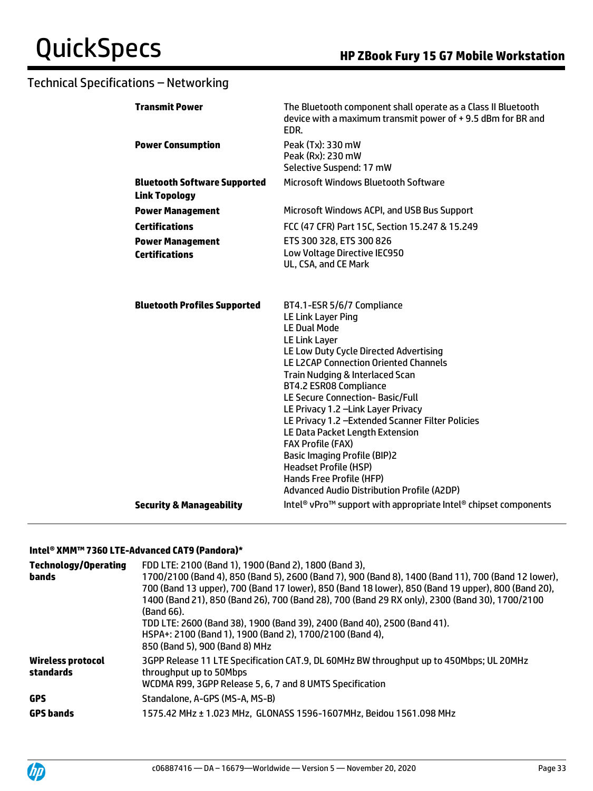|                                                                                                                                                                      | <b>Transmit Power</b>                                       | The Bluetooth component shall operate as a Class II Bluetooth<br>device with a maximum transmit power of +9.5 dBm for BR and<br>EDR.                                                                                                                                                                                                                                                                                                                                              |
|----------------------------------------------------------------------------------------------------------------------------------------------------------------------|-------------------------------------------------------------|-----------------------------------------------------------------------------------------------------------------------------------------------------------------------------------------------------------------------------------------------------------------------------------------------------------------------------------------------------------------------------------------------------------------------------------------------------------------------------------|
|                                                                                                                                                                      | <b>Power Consumption</b>                                    | Peak (Tx): 330 mW<br>Peak (Rx): 230 mW<br>Selective Suspend: 17 mW                                                                                                                                                                                                                                                                                                                                                                                                                |
|                                                                                                                                                                      | <b>Bluetooth Software Supported</b><br><b>Link Topology</b> | <b>Microsoft Windows Bluetooth Software</b>                                                                                                                                                                                                                                                                                                                                                                                                                                       |
|                                                                                                                                                                      | <b>Power Management</b>                                     | Microsoft Windows ACPI, and USB Bus Support                                                                                                                                                                                                                                                                                                                                                                                                                                       |
|                                                                                                                                                                      | <b>Certifications</b>                                       | FCC (47 CFR) Part 15C, Section 15.247 & 15.249                                                                                                                                                                                                                                                                                                                                                                                                                                    |
|                                                                                                                                                                      | <b>Power Management</b><br><b>Certifications</b>            | ETS 300 328, ETS 300 826<br>Low Voltage Directive IEC950<br>UL, CSA, and CE Mark                                                                                                                                                                                                                                                                                                                                                                                                  |
| <b>Bluetooth Profiles Supported</b><br><b>LE Link Layer Ping</b><br><b>LE Dual Mode</b><br>LE Link Layer<br><b>FAX Profile (FAX)</b><br><b>Headset Profile (HSP)</b> |                                                             | BT4.1-ESR 5/6/7 Compliance<br>LE Low Duty Cycle Directed Advertising<br><b>LE L2CAP Connection Oriented Channels</b><br>Train Nudging & Interlaced Scan<br>BT4.2 ESR08 Compliance<br><b>LE Secure Connection-Basic/Full</b><br>LE Privacy 1.2 -Link Layer Privacy<br>LE Privacy 1.2 - Extended Scanner Filter Policies<br>LE Data Packet Length Extension<br><b>Basic Imaging Profile (BIP)2</b><br>Hands Free Profile (HFP)<br><b>Advanced Audio Distribution Profile (A2DP)</b> |
|                                                                                                                                                                      | <b>Security &amp; Manageability</b>                         | Intel <sup>®</sup> vPro <sup>™</sup> support with appropriate Intel® chipset components                                                                                                                                                                                                                                                                                                                                                                                           |
|                                                                                                                                                                      |                                                             |                                                                                                                                                                                                                                                                                                                                                                                                                                                                                   |

#### **Intel® XMM™ 7360 LTE-Advanced CAT9 (Pandora)\***

| <b>Technology/Operating</b><br>bands  | FDD LTE: 2100 (Band 1), 1900 (Band 2), 1800 (Band 3),<br>1700/2100 (Band 4), 850 (Band 5), 2600 (Band 7), 900 (Band 8), 1400 (Band 11), 700 (Band 12 lower),<br>700 (Band 13 upper), 700 (Band 17 lower), 850 (Band 18 lower), 850 (Band 19 upper), 800 (Band 20),<br>1400 (Band 21), 850 (Band 26), 700 (Band 28), 700 (Band 29 RX only), 2300 (Band 30), 1700/2100<br>(Band 66).<br>TDD LTE: 2600 (Band 38), 1900 (Band 39), 2400 (Band 40), 2500 (Band 41).<br>HSPA+: 2100 (Band 1), 1900 (Band 2), 1700/2100 (Band 4),<br>850 (Band 5), 900 (Band 8) MHz |
|---------------------------------------|--------------------------------------------------------------------------------------------------------------------------------------------------------------------------------------------------------------------------------------------------------------------------------------------------------------------------------------------------------------------------------------------------------------------------------------------------------------------------------------------------------------------------------------------------------------|
| <b>Wireless protocol</b><br>standards | 3GPP Release 11 LTE Specification CAT.9, DL 60MHz BW throughput up to 450Mbps; UL 20MHz<br>throughput up to 50Mbps<br>WCDMA R99, 3GPP Release 5, 6, 7 and 8 UMTS Specification                                                                                                                                                                                                                                                                                                                                                                               |
| <b>GPS</b>                            | Standalone. A-GPS (MS-A. MS-B)                                                                                                                                                                                                                                                                                                                                                                                                                                                                                                                               |
| <b>GPS bands</b>                      | 1575.42 MHz ± 1.023 MHz, GLONASS 1596-1607MHz, Beidou 1561.098 MHz                                                                                                                                                                                                                                                                                                                                                                                                                                                                                           |

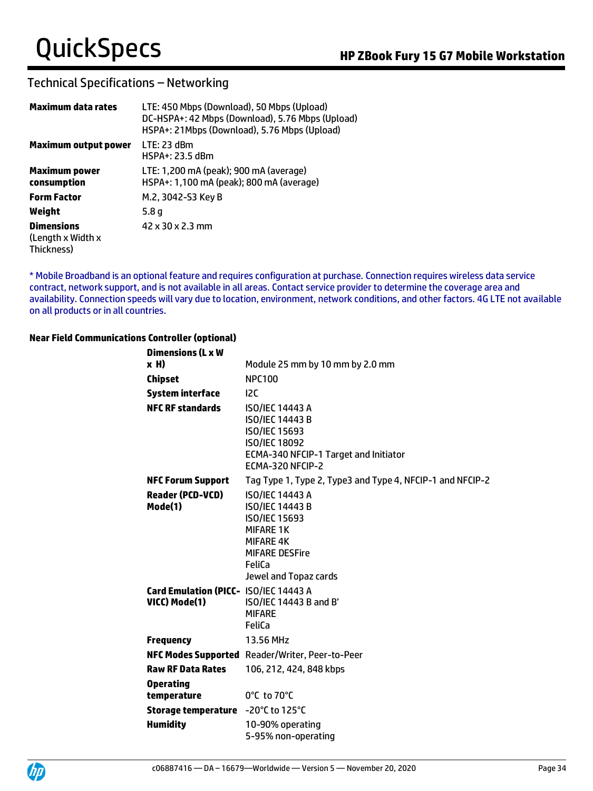### Technical Specifications – Networking

| Maximum data rates                                   | LTE: 450 Mbps (Download), 50 Mbps (Upload)<br>DC-HSPA+: 42 Mbps (Download), 5.76 Mbps (Upload)<br>HSPA+: 21Mbps (Download), 5.76 Mbps (Upload) |
|------------------------------------------------------|------------------------------------------------------------------------------------------------------------------------------------------------|
| Maximum output power                                 | $LTE: 23$ dBm<br>HSPA+: 23.5 dBm                                                                                                               |
| <b>Maximum power</b><br>consumption                  | LTE: 1,200 mA (peak); 900 mA (average)<br>HSPA+: 1,100 mA (peak); 800 mA (average)                                                             |
| <b>Form Factor</b>                                   | M.2, 3042-S3 Key B                                                                                                                             |
| Weight                                               | 5.8 q                                                                                                                                          |
| <b>Dimensions</b><br>(Length x Width x<br>Thickness) | 42 x 30 x 2.3 mm                                                                                                                               |

\* Mobile Broadband is an optional feature and requires configuration at purchase. Connection requires wireless data service contract, network support, and is not available in all areas. Contact service provider to determine the coverage area and availability. Connection speeds will vary due to location, environment, network conditions, and other factors. 4G LTE not available on all products or in all countries.

#### **Near Field Communications Controller (optional)**

| <b>Dimensions (L x W</b>                               |                                                                                                                                                                       |
|--------------------------------------------------------|-----------------------------------------------------------------------------------------------------------------------------------------------------------------------|
| x H)                                                   | Module 25 mm by 10 mm by 2.0 mm                                                                                                                                       |
| <b>Chipset</b>                                         | <b>NPC100</b>                                                                                                                                                         |
| <b>System interface</b>                                | 12C                                                                                                                                                                   |
| <b>NFC RF standards</b>                                | <b>ISO/IEC 14443 A</b><br><b>ISO/IEC 14443 B</b><br>ISO/IEC 15693<br><b>ISO/IEC 18092</b><br>ECMA-340 NFCIP-1 Target and Initiator<br>ECMA-320 NFCIP-2                |
| <b>NFC Forum Support</b>                               | Tag Type 1, Type 2, Type3 and Type 4, NFCIP-1 and NFCIP-2                                                                                                             |
| <b>Reader (PCD-VCD)</b><br>Mode(1)                     | <b>ISO/IEC 14443 A</b><br><b>ISO/IEC 14443 B</b><br>ISO/IEC 15693<br><b>MIFARE 1K</b><br><b>MIFARE 4K</b><br><b>MIFARE DESFire</b><br>FeliCa<br>Jewel and Topaz cards |
| Card Emulation (PICC- ISO/IEC 14443 A<br>VICC) Mode(1) | ISO/IEC 14443 B and B'<br><b>MIFARE</b><br>FeliCa                                                                                                                     |
| <b>Frequency</b>                                       | 13.56 MHz                                                                                                                                                             |
|                                                        | NFC Modes Supported Reader/Writer, Peer-to-Peer                                                                                                                       |
| <b>Raw RF Data Rates</b>                               | 106, 212, 424, 848 kbps                                                                                                                                               |
| <b>Operating</b><br>temperature                        | 0°C to 70°C                                                                                                                                                           |
| Storage temperature                                    | $-20^{\circ}$ C to 125 $^{\circ}$ C                                                                                                                                   |
| <b>Humidity</b>                                        | 10-90% operating<br>5-95% non-operating                                                                                                                               |

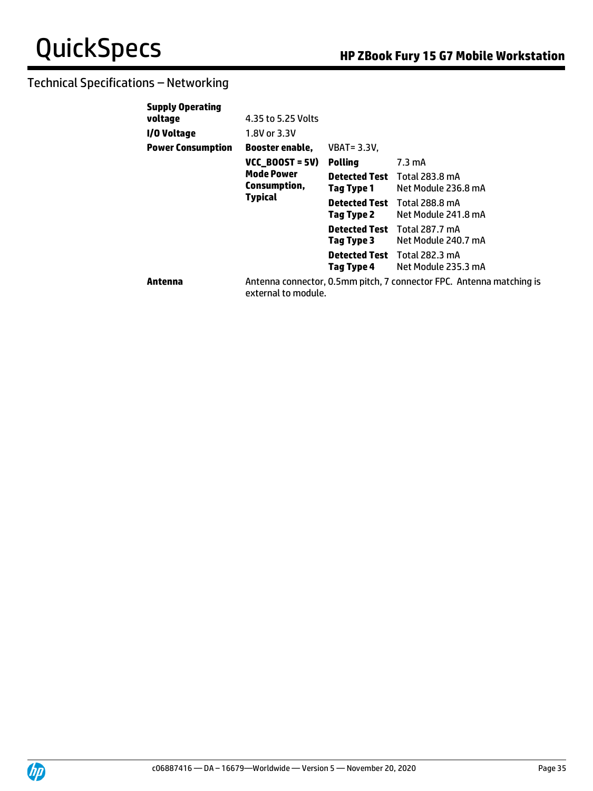| <b>Supply Operating</b>  |                                                                                      |                                    |                                                                      |
|--------------------------|--------------------------------------------------------------------------------------|------------------------------------|----------------------------------------------------------------------|
| voltage                  | 4.35 to 5.25 Volts                                                                   |                                    |                                                                      |
| I/O Voltage              | 1.8V or 3.3V                                                                         |                                    |                                                                      |
| <b>Power Consumption</b> | Booster enable,                                                                      | <b>VBAT = 3.3V,</b>                |                                                                      |
|                          | $VC$ <sub>D</sub> BOOST = 5V)<br><b>Mode Power</b><br>Consumption,<br><b>Typical</b> | <b>Polling</b>                     | 7.3 mA                                                               |
|                          |                                                                                      | Detected Test<br>Tag Type 1        | Total 283.8 mA<br>Net Module 236.8 mA                                |
|                          |                                                                                      | <b>Detected Test</b><br>Tag Type 2 | <b>Total 288.8 mA</b><br>Net Module 241.8 mA                         |
|                          |                                                                                      | <b>Detected Test</b><br>Tag Type 3 | <b>Total 287.7 mA</b><br>Net Module 240.7 mA                         |
|                          |                                                                                      | <b>Detected Test</b><br>Tag Type 4 | Total 282.3 mA<br>Net Module 235.3 mA                                |
| Antenna                  | external to module.                                                                  |                                    | Antenna connector, 0.5mm pitch, 7 connector FPC. Antenna matching is |

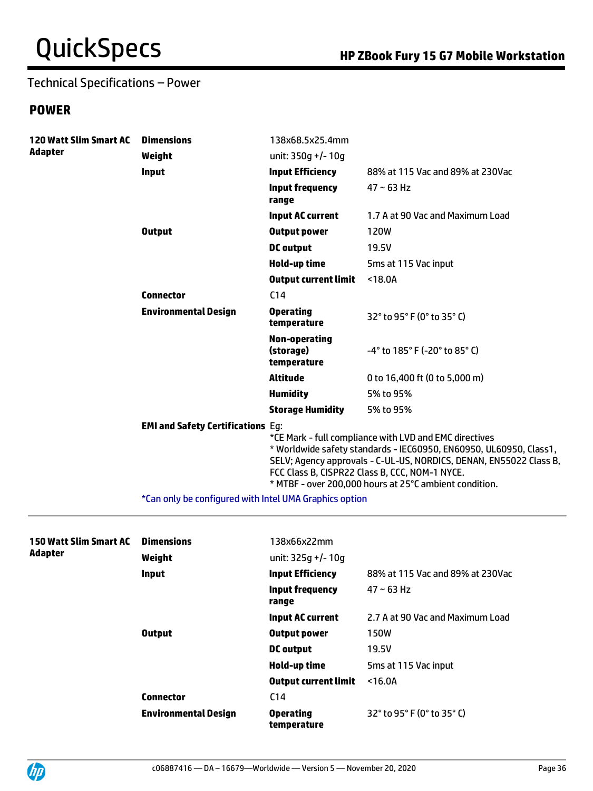## Technical Specifications – Power

## **POWER**

| <b>120 Watt Slim Smart AC</b> | <b>Dimensions</b>                        | 138x68.5x25.4mm                           |                                                                                                                                                                                                                                                                                                                |
|-------------------------------|------------------------------------------|-------------------------------------------|----------------------------------------------------------------------------------------------------------------------------------------------------------------------------------------------------------------------------------------------------------------------------------------------------------------|
| Adapter                       | Weight                                   | unit: $350g +/- 10g$                      |                                                                                                                                                                                                                                                                                                                |
|                               | <b>Input</b>                             | <b>Input Efficiency</b>                   | 88% at 115 Vac and 89% at 230Vac                                                                                                                                                                                                                                                                               |
|                               |                                          | <b>Input frequency</b><br>range           | $47 - 63$ Hz                                                                                                                                                                                                                                                                                                   |
|                               |                                          | Input AC current                          | 1.7 A at 90 Vac and Maximum Load                                                                                                                                                                                                                                                                               |
|                               | <b>Output</b>                            | <b>Output power</b>                       | 120W                                                                                                                                                                                                                                                                                                           |
|                               |                                          | <b>DC</b> output                          | 19.5V                                                                                                                                                                                                                                                                                                          |
|                               |                                          | Hold-up time                              | 5ms at 115 Vac input                                                                                                                                                                                                                                                                                           |
|                               |                                          | <b>Output current limit</b>               | $18.0A$                                                                                                                                                                                                                                                                                                        |
|                               | <b>Connector</b>                         | C <sub>14</sub>                           |                                                                                                                                                                                                                                                                                                                |
|                               | <b>Environmental Design</b>              | <b>Operating</b><br>temperature           | 32° to 95° F (0° to 35° C)                                                                                                                                                                                                                                                                                     |
|                               |                                          | Non-operating<br>(storage)<br>temperature | $-4^{\circ}$ to 185 $^{\circ}$ F (-20 $^{\circ}$ to 85 $^{\circ}$ C)                                                                                                                                                                                                                                           |
|                               |                                          | <b>Altitude</b>                           | 0 to 16,400 ft (0 to 5,000 m)                                                                                                                                                                                                                                                                                  |
|                               |                                          | <b>Humidity</b>                           | 5% to 95%                                                                                                                                                                                                                                                                                                      |
|                               |                                          | <b>Storage Humidity</b>                   | 5% to 95%                                                                                                                                                                                                                                                                                                      |
|                               | <b>EMI and Safety Certifications Eg:</b> |                                           | *CE Mark - full compliance with LVD and EMC directives<br>* Worldwide safety standards - IEC60950, EN60950, UL60950, Class1,<br>SELV; Agency approvals - C-UL-US, NORDICS, DENAN, EN55022 Class B,<br>FCC Class B, CISPR22 Class B, CCC, NOM-1 NYCE.<br>* MTBF - over 200,000 hours at 25°C ambient condition. |

\*Can only be configured with Intel UMA Graphics option

| <b>150 Watt Slim Smart AC</b> | <b>Dimensions</b>           | 138x66x22mm                     |                                  |
|-------------------------------|-----------------------------|---------------------------------|----------------------------------|
| <b>Adapter</b>                | Weight                      | unit: $325q +/- 10q$            |                                  |
|                               | Input                       | <b>Input Efficiency</b>         | 88% at 115 Vac and 89% at 230Vac |
|                               |                             | Input frequency<br>range        | $47 - 63$ Hz                     |
|                               |                             | Input AC current                | 2.7 A at 90 Vac and Maximum Load |
|                               | <b>Output</b>               | Output power                    | 150W                             |
|                               |                             | DC output                       | 19.5V                            |
|                               |                             | Hold-up time                    | 5ms at 115 Vac input             |
|                               |                             | <b>Output current limit</b>     | $16.0A$                          |
|                               | <b>Connector</b>            | C <sub>14</sub>                 |                                  |
|                               | <b>Environmental Design</b> | <b>Operating</b><br>temperature | 32° to 95° F (0° to 35° C)       |

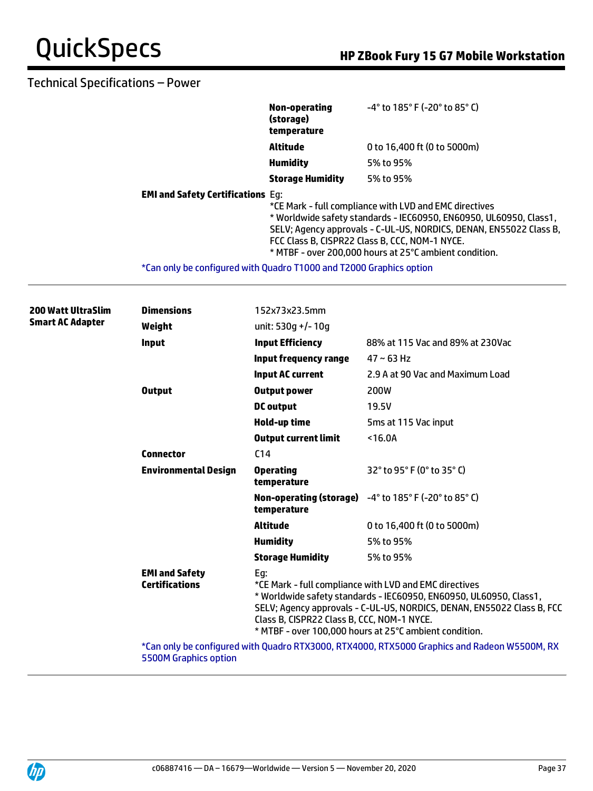### Technical Specifications – Power

|                                                                     | Non-operating<br>(storage)<br>temperature | $-4^{\circ}$ to 185 $^{\circ}$ F (-20 $^{\circ}$ to 85 $^{\circ}$ C)                                                                                                                                                                                                                                           |
|---------------------------------------------------------------------|-------------------------------------------|----------------------------------------------------------------------------------------------------------------------------------------------------------------------------------------------------------------------------------------------------------------------------------------------------------------|
|                                                                     | <b>Altitude</b>                           | 0 to 16,400 ft (0 to 5000m)                                                                                                                                                                                                                                                                                    |
|                                                                     | <b>Humidity</b>                           | 5% to 95%                                                                                                                                                                                                                                                                                                      |
|                                                                     | <b>Storage Humidity</b>                   | 5% to 95%                                                                                                                                                                                                                                                                                                      |
| <b>EMI and Safety Certifications Eq:</b>                            |                                           | *CE Mark - full compliance with LVD and EMC directives<br>* Worldwide safety standards - IEC60950, EN60950, UL60950, Class1,<br>SELV; Agency approvals - C-UL-US, NORDICS, DENAN, EN55022 Class B,<br>FCC Class B, CISPR22 Class B, CCC, NOM-1 NYCE.<br>* MTBF - over 200.000 hours at 25°C ambient condition. |
| *Can only be configured with Quadro T1000 and T2000 Graphics option |                                           |                                                                                                                                                                                                                                                                                                                |

| <b>200 Watt UltraSlim</b> | <b>Dimensions</b>       | 152x73x23.5mm                                  |                                                   |                                                                                                                                                                                                                                                                  |
|---------------------------|-------------------------|------------------------------------------------|---------------------------------------------------|------------------------------------------------------------------------------------------------------------------------------------------------------------------------------------------------------------------------------------------------------------------|
|                           | <b>Smart AC Adapter</b> | Weight                                         | unit: 530q +/- 10q                                |                                                                                                                                                                                                                                                                  |
|                           |                         | <b>Input</b>                                   | <b>Input Efficiency</b>                           | 88% at 115 Vac and 89% at 230Vac                                                                                                                                                                                                                                 |
|                           |                         |                                                | Input frequency range                             | $47 - 63$ Hz                                                                                                                                                                                                                                                     |
|                           |                         |                                                | <b>Input AC current</b>                           | 2.9 A at 90 Vac and Maximum Load                                                                                                                                                                                                                                 |
|                           |                         | <b>Output</b>                                  | <b>Output power</b>                               | 200W                                                                                                                                                                                                                                                             |
|                           |                         |                                                | DC output                                         | 19.5V                                                                                                                                                                                                                                                            |
|                           |                         |                                                | Hold-up time                                      | 5 <sub>ms</sub> at 115 Vac input                                                                                                                                                                                                                                 |
|                           |                         |                                                | <b>Output current limit</b>                       | $16.0A$                                                                                                                                                                                                                                                          |
|                           |                         | <b>Connector</b>                               | C <sub>14</sub>                                   |                                                                                                                                                                                                                                                                  |
|                           |                         | <b>Environmental Design</b>                    | <b>Operating</b><br>temperature                   | 32° to 95° F (0° to 35° C)                                                                                                                                                                                                                                       |
|                           |                         |                                                | temperature                                       | Non-operating (storage) -4° to 185° F (-20° to 85° C)                                                                                                                                                                                                            |
|                           |                         |                                                | <b>Altitude</b>                                   | 0 to 16,400 ft (0 to 5000m)                                                                                                                                                                                                                                      |
|                           |                         |                                                | <b>Humidity</b>                                   | 5% to 95%                                                                                                                                                                                                                                                        |
|                           |                         |                                                | <b>Storage Humidity</b>                           | 5% to 95%                                                                                                                                                                                                                                                        |
|                           |                         | <b>EMI and Safety</b><br><b>Certifications</b> | Eg:<br>Class B, CISPR22 Class B, CCC, NOM-1 NYCE. | *CE Mark - full compliance with LVD and EMC directives<br>* Worldwide safety standards - IEC60950, EN60950, UL60950, Class1,<br>SELV; Agency approvals - C-UL-US, NORDICS, DENAN, EN55022 Class B, FCC<br>* MTBF - over 100,000 hours at 25°C ambient condition. |
|                           |                         |                                                |                                                   | *Can only be configured with Quadro RTX3000, RTX4000, RTX5000 Graphics and Radeon W5500M, RX                                                                                                                                                                     |

5500M Graphics option

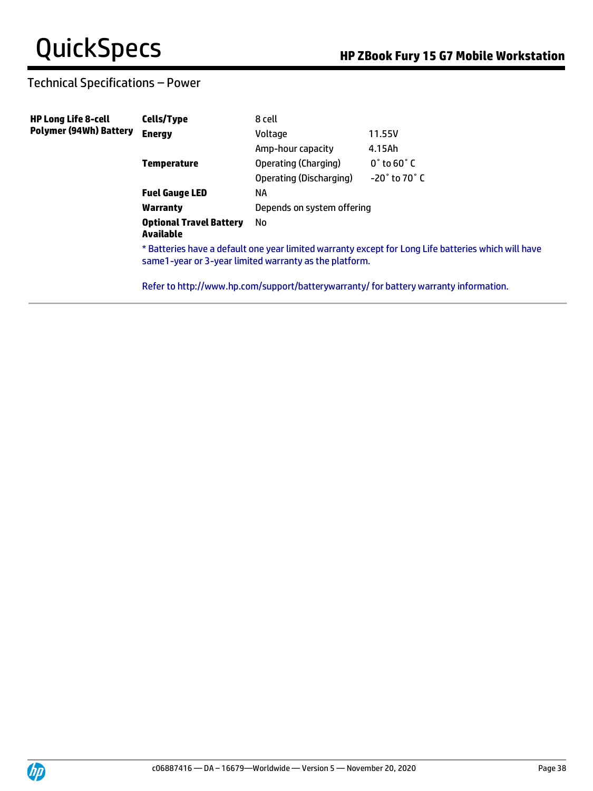## Technical Specifications – Power

| <b>HP Long Life 8-cell</b><br><b>Polymer (94Wh) Battery</b> | Cells/Type                                                                                                                                                     | 8 cell                     |                                                                                       |
|-------------------------------------------------------------|----------------------------------------------------------------------------------------------------------------------------------------------------------------|----------------------------|---------------------------------------------------------------------------------------|
|                                                             | <b>Energy</b>                                                                                                                                                  | Voltage                    | 11.55V                                                                                |
|                                                             |                                                                                                                                                                | Amp-hour capacity          | 4.15Ah                                                                                |
|                                                             | <b>Temperature</b>                                                                                                                                             | Operating (Charging)       | $0^{\circ}$ to 60 $^{\circ}$ C                                                        |
|                                                             |                                                                                                                                                                | Operating (Discharging)    | $-20^\circ$ to 70 $^\circ$ C                                                          |
|                                                             | <b>Fuel Gauge LED</b>                                                                                                                                          | ΝA                         |                                                                                       |
|                                                             | <b>Warranty</b>                                                                                                                                                | Depends on system offering |                                                                                       |
|                                                             | <b>Optional Travel Battery</b><br>Available                                                                                                                    | No.                        |                                                                                       |
|                                                             | * Batteries have a default one year limited warranty except for Long Life batteries which will have<br>same 1-year or 3-year limited warranty as the platform. |                            |                                                                                       |
|                                                             |                                                                                                                                                                |                            | Refer to http://www.hp.com/support/batterywarranty/ for battery warranty information. |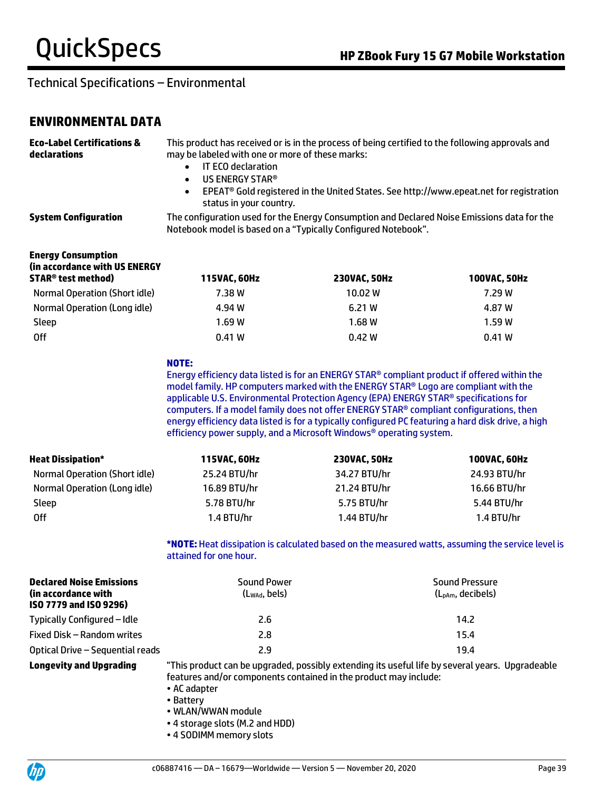### **ENVIRONMENTAL DATA**

| <b>Eco-Label Certifications &amp;</b><br>declarations                                               | This product has received or is in the process of being certified to the following approvals and<br>may be labeled with one or more of these marks:<br>IT ECO declaration<br>$\bullet$<br>US ENERGY STAR®<br>$\bullet$<br>EPEAT® Gold registered in the United States. See http://www.epeat.net for registration<br>$\bullet$<br>status in your country.                                                                                                                                                                                                      |                         |                                                                                                  |
|-----------------------------------------------------------------------------------------------------|---------------------------------------------------------------------------------------------------------------------------------------------------------------------------------------------------------------------------------------------------------------------------------------------------------------------------------------------------------------------------------------------------------------------------------------------------------------------------------------------------------------------------------------------------------------|-------------------------|--------------------------------------------------------------------------------------------------|
| <b>System Configuration</b>                                                                         | The configuration used for the Energy Consumption and Declared Noise Emissions data for the<br>Notebook model is based on a "Typically Configured Notebook".                                                                                                                                                                                                                                                                                                                                                                                                  |                         |                                                                                                  |
| <b>Energy Consumption</b><br>(in accordance with US ENERGY<br><b>STAR<sup>®</sup> test method</b> ) | 115VAC, 60Hz                                                                                                                                                                                                                                                                                                                                                                                                                                                                                                                                                  |                         |                                                                                                  |
| Normal Operation (Short idle)                                                                       | 7.38 W                                                                                                                                                                                                                                                                                                                                                                                                                                                                                                                                                        | 230VAC, 50Hz<br>10.02 W | 100VAC, 50Hz<br>7.29 W                                                                           |
| Normal Operation (Long idle)                                                                        | 4.94 W                                                                                                                                                                                                                                                                                                                                                                                                                                                                                                                                                        | 6.21 W                  | 4.87 W                                                                                           |
| Sleep                                                                                               | 1.69W                                                                                                                                                                                                                                                                                                                                                                                                                                                                                                                                                         | 1.68W                   | 1.59W                                                                                            |
| <b>Off</b>                                                                                          | 0.41W                                                                                                                                                                                                                                                                                                                                                                                                                                                                                                                                                         | 0.42W                   | 0.41W                                                                                            |
|                                                                                                     |                                                                                                                                                                                                                                                                                                                                                                                                                                                                                                                                                               |                         |                                                                                                  |
|                                                                                                     | NOTE:<br>Energy efficiency data listed is for an ENERGY STAR® compliant product if offered within the<br>model family. HP computers marked with the ENERGY STAR® Logo are compliant with the<br>applicable U.S. Environmental Protection Agency (EPA) ENERGY STAR® specifications for<br>computers. If a model family does not offer ENERGY STAR® compliant configurations, then<br>energy efficiency data listed is for a typically configured PC featuring a hard disk drive, a high<br>efficiency power supply, and a Microsoft Windows® operating system. |                         |                                                                                                  |
| <b>Heat Dissipation*</b>                                                                            | 115VAC, 60Hz                                                                                                                                                                                                                                                                                                                                                                                                                                                                                                                                                  | 230VAC, 50Hz            | 100VAC, 60Hz                                                                                     |
| Normal Operation (Short idle)                                                                       | 25.24 BTU/hr                                                                                                                                                                                                                                                                                                                                                                                                                                                                                                                                                  | 34.27 BTU/hr            | 24.93 BTU/hr                                                                                     |
| Normal Operation (Long idle)                                                                        | 16.89 BTU/hr                                                                                                                                                                                                                                                                                                                                                                                                                                                                                                                                                  | 21.24 BTU/hr            | 16.66 BTU/hr                                                                                     |
| Sleep                                                                                               | 5.78 BTU/hr                                                                                                                                                                                                                                                                                                                                                                                                                                                                                                                                                   | 5.75 BTU/hr             | 5.44 BTU/hr                                                                                      |
| <b>Off</b>                                                                                          | 1.4 BTU/hr                                                                                                                                                                                                                                                                                                                                                                                                                                                                                                                                                    | 1.44 BTU/hr             | 1.4 BTU/hr                                                                                       |
|                                                                                                     | attained for one hour.                                                                                                                                                                                                                                                                                                                                                                                                                                                                                                                                        |                         | *NOTE: Heat dissipation is calculated based on the measured watts, assuming the service level is |
| <b>Declared Noise Emissions</b><br>(in accordance with<br>ISO 7779 and ISO 9296)                    | <b>Sound Power</b><br>$(L_{WAd},$ bels)                                                                                                                                                                                                                                                                                                                                                                                                                                                                                                                       |                         | <b>Sound Pressure</b><br>(L <sub>pAm</sub> , decibels)                                           |
| Typically Configured - Idle                                                                         | 2.6                                                                                                                                                                                                                                                                                                                                                                                                                                                                                                                                                           |                         | 14.2                                                                                             |
| Fixed Disk - Random writes                                                                          | 2.8                                                                                                                                                                                                                                                                                                                                                                                                                                                                                                                                                           |                         | 15.4                                                                                             |
| Optical Drive - Sequential reads                                                                    | 2.9                                                                                                                                                                                                                                                                                                                                                                                                                                                                                                                                                           |                         | 19.4                                                                                             |
| <b>Longevity and Upgrading</b>                                                                      | "This product can be upgraded, possibly extending its useful life by several years. Upgradeable<br>features and/or components contained in the product may include:<br>• AC adapter<br>• Battery<br>· WLAN/WWAN module<br>• 4 storage slots (M.2 and HDD)                                                                                                                                                                                                                                                                                                     |                         |                                                                                                  |



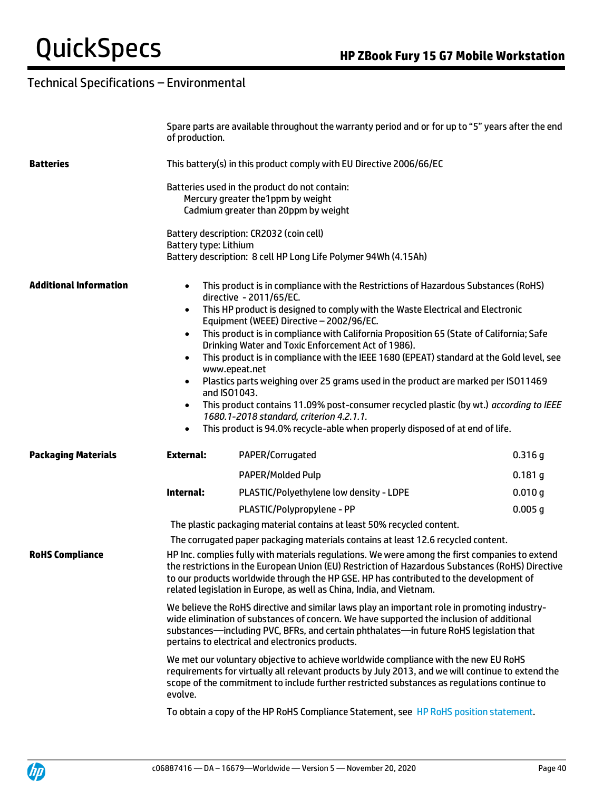|                                                                                                                          | of production.               | Spare parts are available throughout the warranty period and or for up to "5" years after the end                                                                                                                                                                                                                                                                                                                                                                                                                                                                                                                                                                                                                                                                                                                                    |           |  |
|--------------------------------------------------------------------------------------------------------------------------|------------------------------|--------------------------------------------------------------------------------------------------------------------------------------------------------------------------------------------------------------------------------------------------------------------------------------------------------------------------------------------------------------------------------------------------------------------------------------------------------------------------------------------------------------------------------------------------------------------------------------------------------------------------------------------------------------------------------------------------------------------------------------------------------------------------------------------------------------------------------------|-----------|--|
| <b>Batteries</b>                                                                                                         |                              | This battery(s) in this product comply with EU Directive 2006/66/EC                                                                                                                                                                                                                                                                                                                                                                                                                                                                                                                                                                                                                                                                                                                                                                  |           |  |
|                                                                                                                          | <b>Battery type: Lithium</b> | Batteries used in the product do not contain:<br>Mercury greater the1ppm by weight<br>Cadmium greater than 20ppm by weight<br>Battery description: CR2032 (coin cell)<br>Battery description: 8 cell HP Long Life Polymer 94Wh (4.15Ah)                                                                                                                                                                                                                                                                                                                                                                                                                                                                                                                                                                                              |           |  |
| <b>Additional Information</b><br>$\bullet$<br>$\bullet$<br>$\bullet$<br>$\bullet$<br>$\bullet$<br>$\bullet$<br>$\bullet$ |                              | This product is in compliance with the Restrictions of Hazardous Substances (RoHS)<br>directive - 2011/65/EC.<br>This HP product is designed to comply with the Waste Electrical and Electronic<br>Equipment (WEEE) Directive - 2002/96/EC.<br>This product is in compliance with California Proposition 65 (State of California; Safe<br>Drinking Water and Toxic Enforcement Act of 1986).<br>This product is in compliance with the IEEE 1680 (EPEAT) standard at the Gold level, see<br>www.epeat.net<br>Plastics parts weighing over 25 grams used in the product are marked per ISO11469<br>and ISO1043.<br>This product contains 11.09% post-consumer recycled plastic (by wt.) according to IEEE<br>1680.1-2018 standard, criterion 4.2.1.1.<br>This product is 94.0% recycle-able when properly disposed of at end of life. |           |  |
| <b>Packaging Materials</b>                                                                                               | <b>External:</b>             | PAPER/Corrugated                                                                                                                                                                                                                                                                                                                                                                                                                                                                                                                                                                                                                                                                                                                                                                                                                     | 0.316 g   |  |
|                                                                                                                          |                              | <b>PAPER/Molded Pulp</b>                                                                                                                                                                                                                                                                                                                                                                                                                                                                                                                                                                                                                                                                                                                                                                                                             | $0.181$ g |  |
|                                                                                                                          | Internal:                    | PLASTIC/Polyethylene low density - LDPE                                                                                                                                                                                                                                                                                                                                                                                                                                                                                                                                                                                                                                                                                                                                                                                              | 0.010 g   |  |
|                                                                                                                          |                              | PLASTIC/Polypropylene - PP                                                                                                                                                                                                                                                                                                                                                                                                                                                                                                                                                                                                                                                                                                                                                                                                           | $0.005$ g |  |
|                                                                                                                          |                              | The plastic packaging material contains at least 50% recycled content.                                                                                                                                                                                                                                                                                                                                                                                                                                                                                                                                                                                                                                                                                                                                                               |           |  |
|                                                                                                                          |                              | The corrugated paper packaging materials contains at least 12.6 recycled content.                                                                                                                                                                                                                                                                                                                                                                                                                                                                                                                                                                                                                                                                                                                                                    |           |  |
| <b>RoHS Compliance</b>                                                                                                   |                              | HP Inc. complies fully with materials regulations. We were among the first companies to extend<br>the restrictions in the European Union (EU) Restriction of Hazardous Substances (RoHS) Directive<br>to our products worldwide through the HP GSE. HP has contributed to the development of<br>related legislation in Europe, as well as China, India, and Vietnam.                                                                                                                                                                                                                                                                                                                                                                                                                                                                 |           |  |
|                                                                                                                          |                              | We believe the RoHS directive and similar laws play an important role in promoting industry-<br>wide elimination of substances of concern. We have supported the inclusion of additional<br>substances—including PVC, BFRs, and certain phthalates—in future RoHS legislation that<br>pertains to electrical and electronics products.                                                                                                                                                                                                                                                                                                                                                                                                                                                                                               |           |  |
|                                                                                                                          | evolve.                      | We met our voluntary objective to achieve worldwide compliance with the new EU RoHS<br>requirements for virtually all relevant products by July 2013, and we will continue to extend the<br>scope of the commitment to include further restricted substances as regulations continue to                                                                                                                                                                                                                                                                                                                                                                                                                                                                                                                                              |           |  |
|                                                                                                                          |                              | To obtain a copy of the HP RoHS Compliance Statement, see HP RoHS position statement.                                                                                                                                                                                                                                                                                                                                                                                                                                                                                                                                                                                                                                                                                                                                                |           |  |

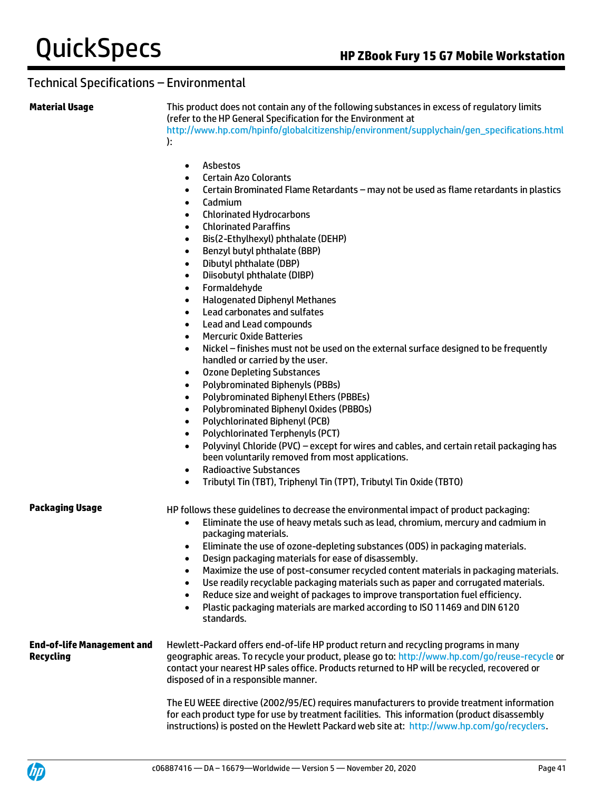**Material Usage** This product does not contain any of the following substances in excess of regulatory limits (refer to the HP General Specification for the Environment at [http://www.hp.com/hpinfo/globalcitizenship/environment/supplychain/gen\\_specifications.html](http://www.hp.com/hpinfo/globalcitizenship/environment/supplychain/gen_specifications.html) ):

- Asbestos
- Certain Azo Colorants
- Certain Brominated Flame Retardants may not be used as flame retardants in plastics
- Cadmium
- Chlorinated Hydrocarbons
- Chlorinated Paraffins
- Bis(2-Ethylhexyl) phthalate (DEHP)
- Benzyl butyl phthalate (BBP)
- Dibutyl phthalate (DBP)
- Diisobutyl phthalate (DIBP)
- Formaldehyde
- Halogenated Diphenyl Methanes
- Lead carbonates and sulfates
- Lead and Lead compounds
- Mercuric Oxide Batteries
- Nickel finishes must not be used on the external surface designed to be frequently handled or carried by the user.
- Ozone Depleting Substances
- Polybrominated Biphenyls (PBBs)
- Polybrominated Biphenyl Ethers (PBBEs)
- Polybrominated Biphenyl Oxides (PBBOs)
- Polychlorinated Biphenyl (PCB)
- Polychlorinated Terphenyls (PCT)
- Polyvinyl Chloride (PVC) except for wires and cables, and certain retail packaging has been voluntarily removed from most applications.
- Radioactive Substances
- Tributyl Tin (TBT), Triphenyl Tin (TPT), Tributyl Tin Oxide (TBTO)

**Packaging Usage HP follows these guidelines to decrease the environmental impact of product packaging:** 

- Eliminate the use of heavy metals such as lead, chromium, mercury and cadmium in packaging materials.
- Eliminate the use of ozone-depleting substances (ODS) in packaging materials.
- Design packaging materials for ease of disassembly.
- Maximize the use of post-consumer recycled content materials in packaging materials.
- Use readily recyclable packaging materials such as paper and corrugated materials.
- Reduce size and weight of packages to improve transportation fuel efficiency.
- Plastic packaging materials are marked according to ISO 11469 and DIN 6120 standards.

**End-of-life Management and Recycling** Hewlett-Packard offers end-of-life HP product return and recycling programs in many geographic areas. To recycle your product, please go to:<http://www.hp.com/go/reuse-recycle> or contact your nearest HP sales office. Products returned to HP will be recycled, recovered or disposed of in a responsible manner.

> The EU WEEE directive (2002/95/EC) requires manufacturers to provide treatment information for each product type for use by treatment facilities. This information (product disassembly instructions) is posted on the Hewlett Packard web site at: [http://www.hp.com/go/recyclers.](http://www.hp.com/go/recyclers)

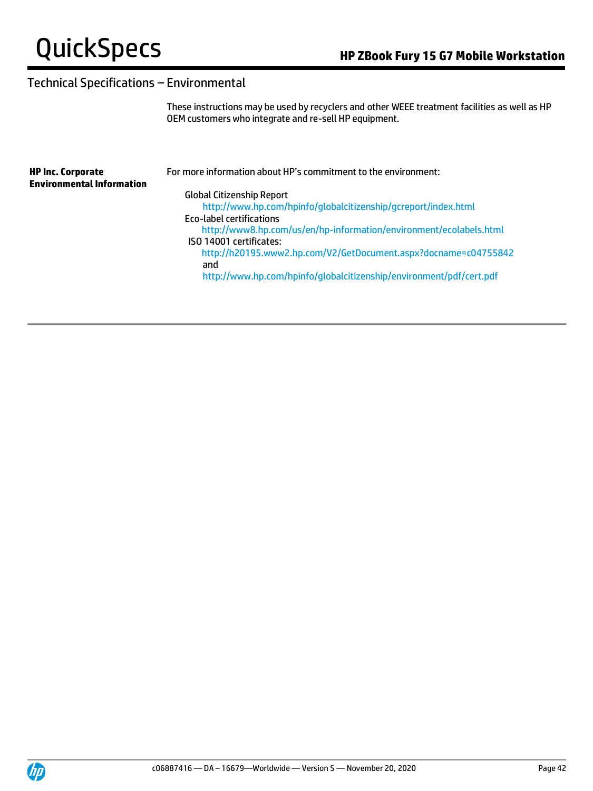These instructions may be used by recyclers and other WEEE treatment facilities as well as HP OEM customers who integrate and re-sell HP equipment.

| <b>HP Inc. Corporate</b><br><b>Environmental Information</b> | For more information about HP's commitment to the environment:      |
|--------------------------------------------------------------|---------------------------------------------------------------------|
|                                                              | <b>Global Citizenship Report</b>                                    |
|                                                              | http://www.hp.com/hpinfo/qlobalcitizenship/gcreport/index.html      |
|                                                              | Eco-label certifications                                            |
|                                                              | http://www8.hp.com/us/en/hp-information/environment/ecolabels.html  |
|                                                              | ISO 14001 certificates:                                             |
|                                                              | http://h20195.www2.hp.com/V2/GetDocument.aspx?docname=c04755842     |
|                                                              | and                                                                 |
|                                                              | http://www.hp.com/hpinfo/globalcitizenship/environment/pdf/cert.pdf |
|                                                              |                                                                     |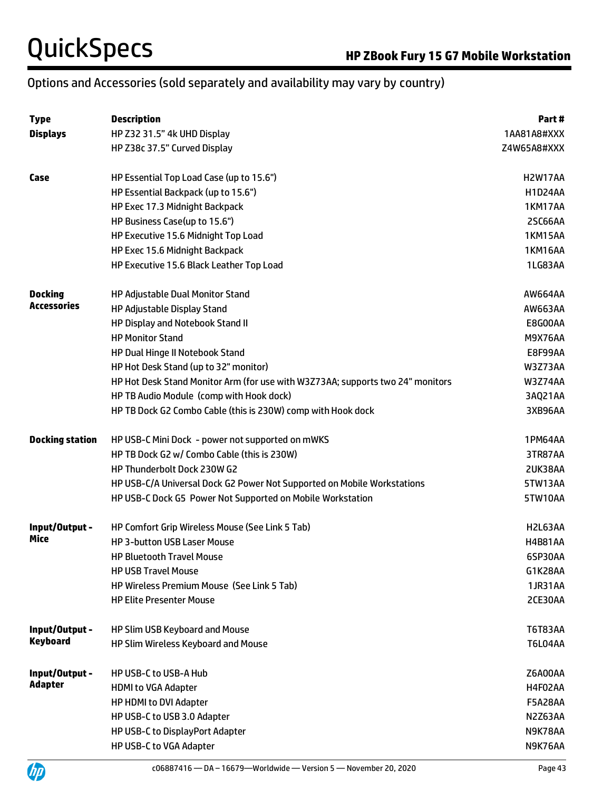## Options and Accessories (sold separately and availability may vary by country)

| <b>Type</b>            | <b>Description</b>                                                             | Part #         |
|------------------------|--------------------------------------------------------------------------------|----------------|
| <b>Displays</b>        | HP Z32 31.5" 4k UHD Display                                                    | 1AA81A8#XXX    |
|                        | HP Z38c 37.5" Curved Display                                                   | Z4W65A8#XXX    |
| Case                   | HP Essential Top Load Case (up to 15.6")                                       | <b>H2W17AA</b> |
|                        | HP Essential Backpack (up to 15.6")                                            | <b>H1D24AA</b> |
|                        | HP Exec 17.3 Midnight Backpack                                                 | 1KM17AA        |
|                        | HP Business Case(up to 15.6")                                                  | 2SC66AA        |
|                        | HP Executive 15.6 Midnight Top Load                                            | <b>1KM15AA</b> |
|                        | HP Exec 15.6 Midnight Backpack                                                 | <b>1KM16AA</b> |
|                        | HP Executive 15.6 Black Leather Top Load                                       | 1LG83AA        |
| <b>Docking</b>         | HP Adjustable Dual Monitor Stand                                               | AW664AA        |
| <b>Accessories</b>     | HP Adjustable Display Stand                                                    | AW663AA        |
|                        | HP Display and Notebook Stand II                                               | E8G00AA        |
|                        | <b>HP Monitor Stand</b>                                                        | <b>M9X76AA</b> |
|                        | HP Dual Hinge II Notebook Stand                                                | E8F99AA        |
|                        | HP Hot Desk Stand (up to 32" monitor)                                          | W3Z73AA        |
|                        | HP Hot Desk Stand Monitor Arm (for use with W3Z73AA; supports two 24" monitors | W3Z74AA        |
|                        | HP TB Audio Module (comp with Hook dock)                                       | 3AQ21AA        |
|                        | HP TB Dock G2 Combo Cable (this is 230W) comp with Hook dock                   | 3XB96AA        |
| <b>Docking station</b> | HP USB-C Mini Dock - power not supported on mWKS                               | 1PM64AA        |
|                        | HP TB Dock G2 w/ Combo Cable (this is 230W)                                    | 3TR87AA        |
|                        | HP Thunderbolt Dock 230W G2                                                    | 2UK38AA        |
|                        | HP USB-C/A Universal Dock G2 Power Not Supported on Mobile Workstations        | 5TW13AA        |
|                        | HP USB-C Dock G5 Power Not Supported on Mobile Workstation                     | 5TW10AA        |
| Input/Output -         | HP Comfort Grip Wireless Mouse (See Link 5 Tab)                                | H2L63AA        |
| Mice                   | <b>HP 3-button USB Laser Mouse</b>                                             | <b>H4B81AA</b> |
|                        | <b>HP Bluetooth Travel Mouse</b>                                               | 6SP30AA        |
|                        | <b>HP USB Travel Mouse</b>                                                     | G1K28AA        |
|                        | HP Wireless Premium Mouse (See Link 5 Tab)                                     | 1JR31AA        |
|                        | <b>HP Elite Presenter Mouse</b>                                                | 2CE30AA        |
| Input/Output -         | HP Slim USB Keyboard and Mouse                                                 | T6T83AA        |
| <b>Keyboard</b>        | HP Slim Wireless Keyboard and Mouse                                            | <b>T6L04AA</b> |
| Input/Output -         | <b>HP USB-C to USB-A Hub</b>                                                   | Z6A00AA        |
| <b>Adapter</b>         | <b>HDMI to VGA Adapter</b>                                                     | H4F02AA        |
|                        | HP HDMI to DVI Adapter                                                         | <b>F5A28AA</b> |
|                        | HP USB-C to USB 3.0 Adapter                                                    | N2Z63AA        |
|                        | HP USB-C to DisplayPort Adapter                                                | N9K78AA        |
|                        | HP USB-C to VGA Adapter                                                        | N9K76AA        |

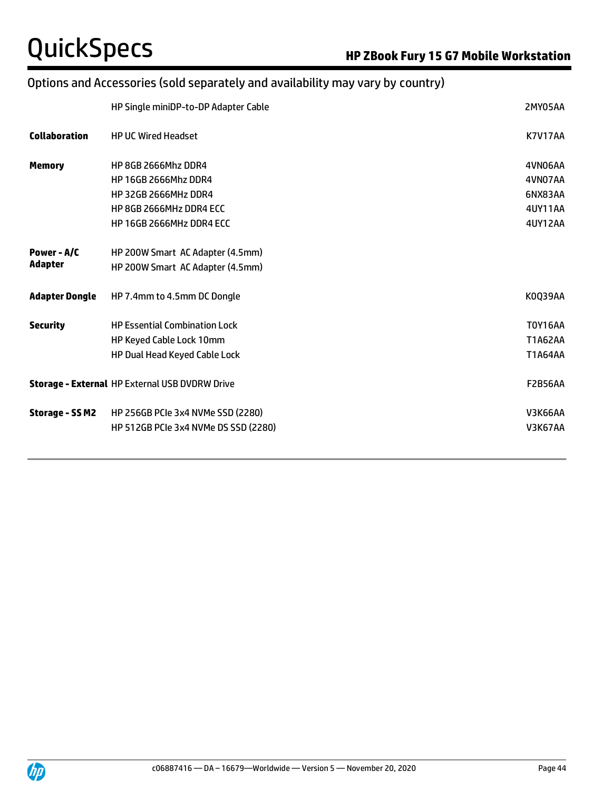## Options and Accessories (sold separately and availability may vary by country)

|                       | HP Single miniDP-to-DP Adapter Cable                  | 2MY05AA        |
|-----------------------|-------------------------------------------------------|----------------|
| <b>Collaboration</b>  | <b>HP UC Wired Headset</b>                            | <b>K7V17AA</b> |
| <b>Memory</b>         | HP 8GB 2666Mhz DDR4                                   | 4VN06AA        |
|                       | <b>HP 16GB 2666Mhz DDR4</b>                           | 4VN07AA        |
|                       | <b>HP 32GB 2666MHz DDR4</b>                           | 6NX83AA        |
|                       | HP 8GB 2666MHz DDR4 ECC                               | 4UY11AA        |
|                       | HP 16GB 2666MHz DDR4 ECC                              | <b>4UY12AA</b> |
| Power - A/C           | HP 200W Smart AC Adapter (4.5mm)                      |                |
| <b>Adapter</b>        | HP 200W Smart AC Adapter (4.5mm)                      |                |
| <b>Adapter Dongle</b> | HP 7.4mm to 4.5mm DC Dongle                           | K0Q39AA        |
| <b>Security</b>       | <b>HP Essential Combination Lock</b>                  | <b>T0Y16AA</b> |
|                       | HP Keyed Cable Lock 10mm                              | T1A62AA        |
|                       | HP Dual Head Keyed Cable Lock                         | T1A64AA        |
|                       | <b>Storage - External HP External USB DVDRW Drive</b> | <b>F2B56AA</b> |
| Storage - SS M2       | HP 256GB PCIe 3x4 NVMe SSD (2280)                     | <b>V3K66AA</b> |
|                       | HP 512GB PCIe 3x4 NVMe DS SSD (2280)                  | V3K67AA        |